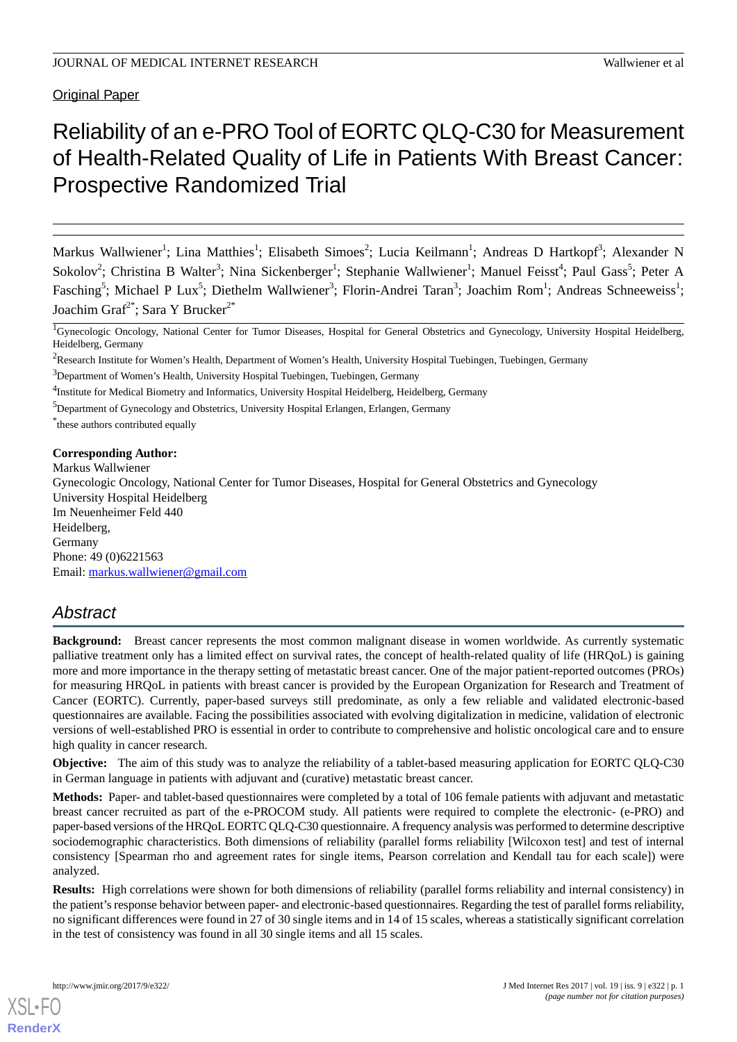Original Paper

# Reliability of an e-PRO Tool of EORTC QLQ-C30 for Measurement of Health-Related Quality of Life in Patients With Breast Cancer: Prospective Randomized Trial

Markus Wallwiener<sup>1</sup>; Lina Matthies<sup>1</sup>; Elisabeth Simoes<sup>2</sup>; Lucia Keilmann<sup>1</sup>; Andreas D Hartkopf<sup>3</sup>; Alexander N Sokolov<sup>2</sup>; Christina B Walter<sup>3</sup>; Nina Sickenberger<sup>1</sup>; Stephanie Wallwiener<sup>1</sup>; Manuel Feisst<sup>4</sup>; Paul Gass<sup>5</sup>; Peter A Fasching<sup>5</sup>; Michael P Lux<sup>5</sup>; Diethelm Wallwiener<sup>3</sup>; Florin-Andrei Taran<sup>3</sup>; Joachim Rom<sup>1</sup>; Andreas Schneeweiss<sup>1</sup>; Joachim Graf $^{2^*}$ ; Sara Y Brucker $^{2^*}$ 

<sup>1</sup>Gynecologic Oncology, National Center for Tumor Diseases, Hospital for General Obstetrics and Gynecology, University Hospital Heidelberg, Heidelberg, Germany

<sup>4</sup>Institute for Medical Biometry and Informatics, University Hospital Heidelberg, Heidelberg, Germany

<sup>5</sup>Department of Gynecology and Obstetrics, University Hospital Erlangen, Erlangen, Germany

\* these authors contributed equally

#### **Corresponding Author:**

Markus Wallwiener Gynecologic Oncology, National Center for Tumor Diseases, Hospital for General Obstetrics and Gynecology University Hospital Heidelberg Im Neuenheimer Feld 440 Heidelberg, Germany Phone: 49 (0)6221563 Email: [markus.wallwiener@gmail.com](mailto:markus.wallwiener@gmail.com)

# *Abstract*

**Background:** Breast cancer represents the most common malignant disease in women worldwide. As currently systematic palliative treatment only has a limited effect on survival rates, the concept of health-related quality of life (HRQoL) is gaining more and more importance in the therapy setting of metastatic breast cancer. One of the major patient-reported outcomes (PROs) for measuring HRQoL in patients with breast cancer is provided by the European Organization for Research and Treatment of Cancer (EORTC). Currently, paper-based surveys still predominate, as only a few reliable and validated electronic-based questionnaires are available. Facing the possibilities associated with evolving digitalization in medicine, validation of electronic versions of well-established PRO is essential in order to contribute to comprehensive and holistic oncological care and to ensure high quality in cancer research.

**Objective:** The aim of this study was to analyze the reliability of a tablet-based measuring application for EORTC QLQ-C30 in German language in patients with adjuvant and (curative) metastatic breast cancer.

**Methods:** Paper- and tablet-based questionnaires were completed by a total of 106 female patients with adjuvant and metastatic breast cancer recruited as part of the e-PROCOM study. All patients were required to complete the electronic- (e-PRO) and paper-based versions of the HRQoL EORTC QLQ-C30 questionnaire. A frequency analysis was performed to determine descriptive sociodemographic characteristics. Both dimensions of reliability (parallel forms reliability [Wilcoxon test] and test of internal consistency [Spearman rho and agreement rates for single items, Pearson correlation and Kendall tau for each scale]) were analyzed.

**Results:** High correlations were shown for both dimensions of reliability (parallel forms reliability and internal consistency) in the patient's response behavior between paper- and electronic-based questionnaires. Regarding the test of parallel forms reliability, no significant differences were found in 27 of 30 single items and in 14 of 15 scales, whereas a statistically significant correlation in the test of consistency was found in all 30 single items and all 15 scales.

<sup>&</sup>lt;sup>2</sup>Research Institute for Women's Health, Department of Women's Health, University Hospital Tuebingen, Tuebingen, Germany

<sup>&</sup>lt;sup>3</sup>Department of Women's Health, University Hospital Tuebingen, Tuebingen, Germany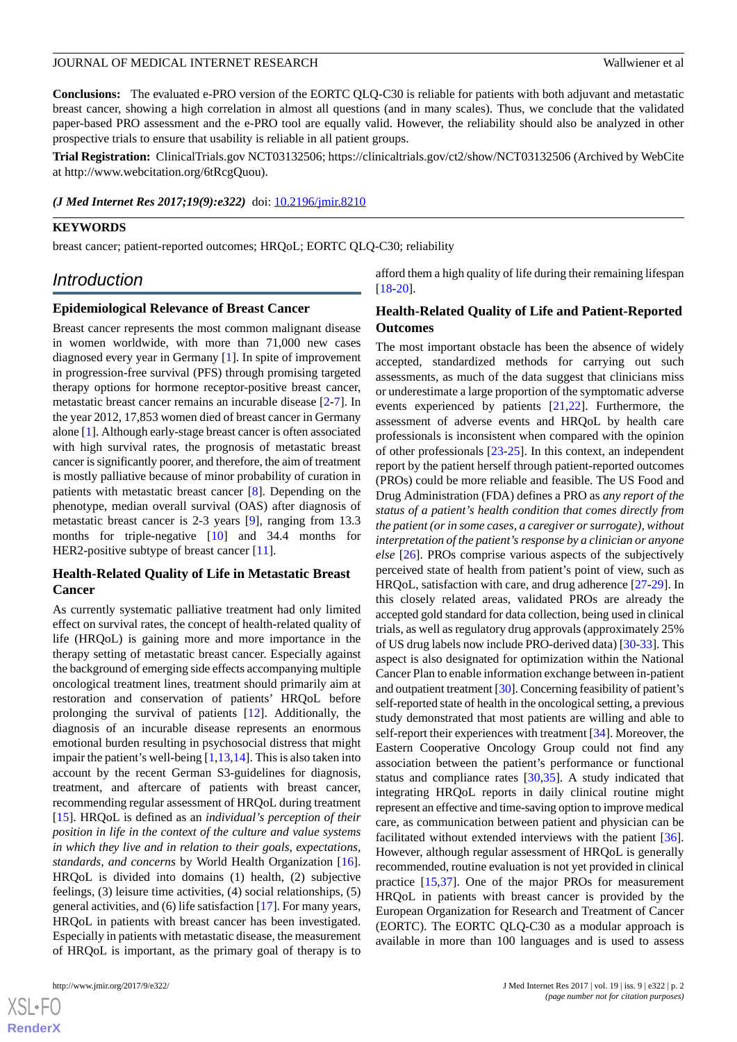**Conclusions:** The evaluated e-PRO version of the EORTC QLQ-C30 is reliable for patients with both adjuvant and metastatic breast cancer, showing a high correlation in almost all questions (and in many scales). Thus, we conclude that the validated paper-based PRO assessment and the e-PRO tool are equally valid. However, the reliability should also be analyzed in other prospective trials to ensure that usability is reliable in all patient groups.

**Trial Registration:** ClinicalTrials.gov NCT03132506; https://clinicaltrials.gov/ct2/show/NCT03132506 (Archived by WebCite at http://www.webcitation.org/6tRcgQuou).

*(J Med Internet Res 2017;19(9):e322)* doi:  $10.2196/$ jmir.8210

#### **KEYWORDS**

breast cancer; patient-reported outcomes; HRQoL; EORTC QLQ-C30; reliability

# *Introduction*

#### **Epidemiological Relevance of Breast Cancer**

Breast cancer represents the most common malignant disease in women worldwide, with more than 71,000 new cases diagnosed every year in Germany [\[1\]](#page-11-0). In spite of improvement in progression-free survival (PFS) through promising targeted therapy options for hormone receptor-positive breast cancer, metastatic breast cancer remains an incurable disease [[2-](#page-11-1)[7\]](#page-12-0). In the year 2012, 17,853 women died of breast cancer in Germany alone [\[1](#page-11-0)]. Although early-stage breast cancer is often associated with high survival rates, the prognosis of metastatic breast cancer is significantly poorer, and therefore, the aim of treatment is mostly palliative because of minor probability of curation in patients with metastatic breast cancer [[8\]](#page-12-1). Depending on the phenotype, median overall survival (OAS) after diagnosis of metastatic breast cancer is 2-3 years [\[9](#page-12-2)], ranging from 13.3 months for triple-negative [[10\]](#page-12-3) and 34.4 months for HER2-positive subtype of breast cancer [\[11](#page-12-4)].

## **Health-Related Quality of Life in Metastatic Breast Cancer**

As currently systematic palliative treatment had only limited effect on survival rates, the concept of health-related quality of life (HRQoL) is gaining more and more importance in the therapy setting of metastatic breast cancer. Especially against the background of emerging side effects accompanying multiple oncological treatment lines, treatment should primarily aim at restoration and conservation of patients' HRQoL before prolonging the survival of patients [\[12](#page-12-5)]. Additionally, the diagnosis of an incurable disease represents an enormous emotional burden resulting in psychosocial distress that might impair the patient's well-being [\[1,](#page-11-0)[13](#page-12-6)[,14](#page-12-7)]. This is also taken into account by the recent German S3-guidelines for diagnosis, treatment, and aftercare of patients with breast cancer, recommending regular assessment of HRQoL during treatment [[15\]](#page-12-8). HRQoL is defined as an *individual's perception of their position in life in the context of the culture and value systems in which they live and in relation to their goals, expectations, standards, and concerns* by World Health Organization [[16\]](#page-12-9). HRQoL is divided into domains (1) health, (2) subjective feelings, (3) leisure time activities, (4) social relationships, (5) general activities, and (6) life satisfaction [\[17](#page-12-10)]. For many years, HRQoL in patients with breast cancer has been investigated. Especially in patients with metastatic disease, the measurement of HRQoL is important, as the primary goal of therapy is to

 $XS$  $\cdot$ FC **[RenderX](http://www.renderx.com/)**

afford them a high quality of life during their remaining lifespan [[18](#page-12-11)[-20](#page-12-12)].

## **Health-Related Quality of Life and Patient-Reported Outcomes**

The most important obstacle has been the absence of widely accepted, standardized methods for carrying out such assessments, as much of the data suggest that clinicians miss or underestimate a large proportion of the symptomatic adverse events experienced by patients [[21](#page-12-13)[,22](#page-12-14)]. Furthermore, the assessment of adverse events and HRQoL by health care professionals is inconsistent when compared with the opinion of other professionals [[23](#page-12-15)[-25](#page-12-16)]. In this context, an independent report by the patient herself through patient-reported outcomes (PROs) could be more reliable and feasible. The US Food and Drug Administration (FDA) defines a PRO as *any report of the status of a patient's health condition that comes directly from the patient (or in some cases, a caregiver or surrogate), without interpretation of the patient's response by a clinician or anyone else* [\[26](#page-12-17)]. PROs comprise various aspects of the subjectively perceived state of health from patient's point of view, such as HRQoL, satisfaction with care, and drug adherence [\[27](#page-13-0)[-29](#page-13-1)]. In this closely related areas, validated PROs are already the accepted gold standard for data collection, being used in clinical trials, as well as regulatory drug approvals (approximately 25% of US drug labels now include PRO-derived data) [[30](#page-13-2)[-33](#page-13-3)]. This aspect is also designated for optimization within the National Cancer Plan to enable information exchange between in-patient and outpatient treatment [\[30\]](#page-13-2). Concerning feasibility of patient's self-reported state of health in the oncological setting, a previous study demonstrated that most patients are willing and able to self-report their experiences with treatment [[34\]](#page-13-4). Moreover, the Eastern Cooperative Oncology Group could not find any association between the patient's performance or functional status and compliance rates [\[30](#page-13-2)[,35](#page-13-5)]. A study indicated that integrating HRQoL reports in daily clinical routine might represent an effective and time-saving option to improve medical care, as communication between patient and physician can be facilitated without extended interviews with the patient [[36\]](#page-13-6). However, although regular assessment of HRQoL is generally recommended, routine evaluation is not yet provided in clinical practice [\[15](#page-12-8),[37\]](#page-13-7). One of the major PROs for measurement HRQoL in patients with breast cancer is provided by the European Organization for Research and Treatment of Cancer (EORTC). The EORTC QLQ-C30 as a modular approach is available in more than 100 languages and is used to assess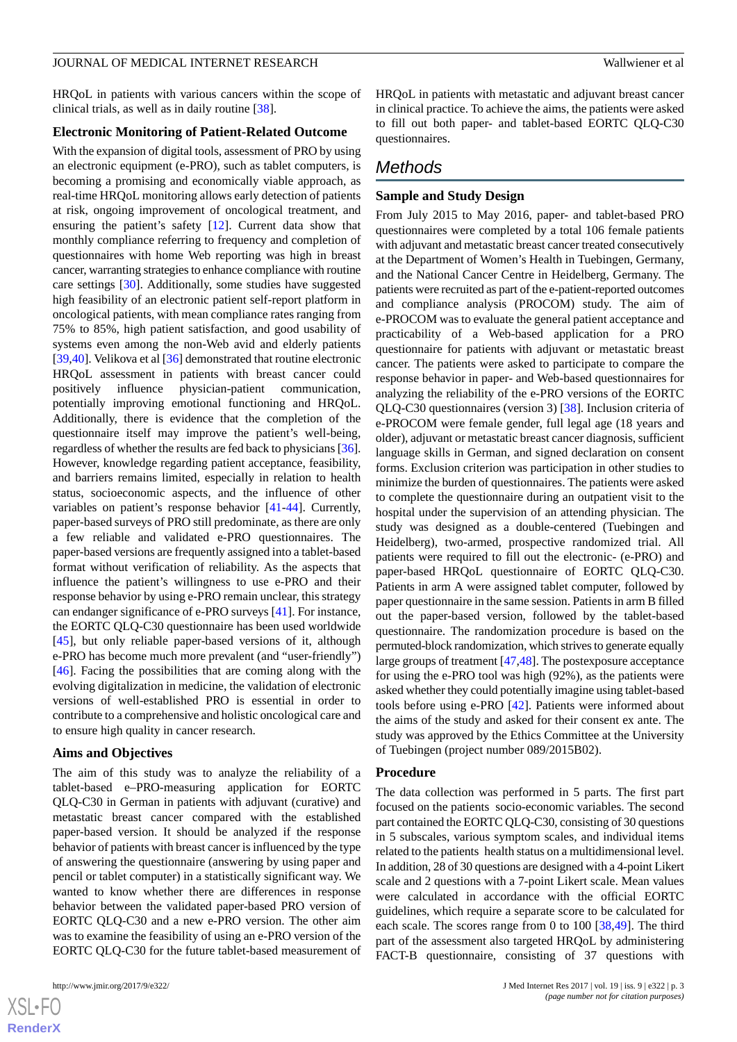HRQoL in patients with various cancers within the scope of clinical trials, as well as in daily routine [[38\]](#page-13-8).

#### **Electronic Monitoring of Patient-Related Outcome**

With the expansion of digital tools, assessment of PRO by using an electronic equipment (e-PRO), such as tablet computers, is becoming a promising and economically viable approach, as real-time HRQoL monitoring allows early detection of patients at risk, ongoing improvement of oncological treatment, and ensuring the patient's safety [[12\]](#page-12-5). Current data show that monthly compliance referring to frequency and completion of questionnaires with home Web reporting was high in breast cancer, warranting strategies to enhance compliance with routine care settings [[30\]](#page-13-2). Additionally, some studies have suggested high feasibility of an electronic patient self-report platform in oncological patients, with mean compliance rates ranging from 75% to 85%, high patient satisfaction, and good usability of systems even among the non-Web avid and elderly patients [[39](#page-13-9)[,40](#page-13-10)]. Velikova et al [\[36](#page-13-6)] demonstrated that routine electronic HRQoL assessment in patients with breast cancer could positively influence physician-patient communication, potentially improving emotional functioning and HRQoL. Additionally, there is evidence that the completion of the questionnaire itself may improve the patient's well-being, regardless of whether the results are fed back to physicians [\[36\]](#page-13-6). However, knowledge regarding patient acceptance, feasibility, and barriers remains limited, especially in relation to health status, socioeconomic aspects, and the influence of other variables on patient's response behavior [[41-](#page-13-11)[44](#page-13-12)]. Currently, paper-based surveys of PRO still predominate, as there are only a few reliable and validated e-PRO questionnaires. The paper-based versions are frequently assigned into a tablet-based format without verification of reliability. As the aspects that influence the patient's willingness to use e-PRO and their response behavior by using e-PRO remain unclear, this strategy can endanger significance of e-PRO surveys [[41\]](#page-13-11). For instance, the EORTC QLQ-C30 questionnaire has been used worldwide [[45\]](#page-13-13), but only reliable paper-based versions of it, although e-PRO has become much more prevalent (and "user-friendly") [[46\]](#page-13-14). Facing the possibilities that are coming along with the evolving digitalization in medicine, the validation of electronic versions of well-established PRO is essential in order to contribute to a comprehensive and holistic oncological care and to ensure high quality in cancer research.

#### **Aims and Objectives**

The aim of this study was to analyze the reliability of a tablet-based e–PRO-measuring application for EORTC QLQ-C30 in German in patients with adjuvant (curative) and metastatic breast cancer compared with the established paper-based version. It should be analyzed if the response behavior of patients with breast cancer is influenced by the type of answering the questionnaire (answering by using paper and pencil or tablet computer) in a statistically significant way. We wanted to know whether there are differences in response behavior between the validated paper-based PRO version of EORTC QLQ-C30 and a new e-PRO version. The other aim was to examine the feasibility of using an e-PRO version of the EORTC QLQ-C30 for the future tablet-based measurement of

 $XS$  $\cdot$ FC **[RenderX](http://www.renderx.com/)** HRQoL in patients with metastatic and adjuvant breast cancer in clinical practice. To achieve the aims, the patients were asked to fill out both paper- and tablet-based EORTC QLQ-C30

# *Methods*

questionnaires.

# **Sample and Study Design**

From July 2015 to May 2016, paper- and tablet-based PRO questionnaires were completed by a total 106 female patients with adjuvant and metastatic breast cancer treated consecutively at the Department of Women's Health in Tuebingen, Germany, and the National Cancer Centre in Heidelberg, Germany. The patients were recruited as part of the e-patient-reported outcomes and compliance analysis (PROCOM) study. The aim of e-PROCOM was to evaluate the general patient acceptance and practicability of a Web-based application for a PRO questionnaire for patients with adjuvant or metastatic breast cancer. The patients were asked to participate to compare the response behavior in paper- and Web-based questionnaires for analyzing the reliability of the e-PRO versions of the EORTC QLQ-C30 questionnaires (version 3) [[38\]](#page-13-8). Inclusion criteria of e-PROCOM were female gender, full legal age (18 years and older), adjuvant or metastatic breast cancer diagnosis, sufficient language skills in German, and signed declaration on consent forms. Exclusion criterion was participation in other studies to minimize the burden of questionnaires. The patients were asked to complete the questionnaire during an outpatient visit to the hospital under the supervision of an attending physician. The study was designed as a double-centered (Tuebingen and Heidelberg), two-armed, prospective randomized trial. All patients were required to fill out the electronic- (e-PRO) and paper-based HRQoL questionnaire of EORTC QLQ-C30. Patients in arm A were assigned tablet computer, followed by paper questionnaire in the same session. Patients in arm B filled out the paper-based version, followed by the tablet-based questionnaire. The randomization procedure is based on the permuted-block randomization, which strives to generate equally large groups of treatment [\[47](#page-13-15),[48\]](#page-14-0). The postexposure acceptance for using the e-PRO tool was high (92%), as the patients were asked whether they could potentially imagine using tablet-based tools before using e-PRO [[42\]](#page-13-16). Patients were informed about the aims of the study and asked for their consent ex ante. The study was approved by the Ethics Committee at the University of Tuebingen (project number 089/2015B02).

#### **Procedure**

The data collection was performed in 5 parts. The first part focused on the patients socio-economic variables. The second part contained the EORTC QLQ-C30, consisting of 30 questions in 5 subscales, various symptom scales, and individual items related to the patients health status on a multidimensional level. In addition, 28 of 30 questions are designed with a 4-point Likert scale and 2 questions with a 7-point Likert scale. Mean values were calculated in accordance with the official EORTC guidelines, which require a separate score to be calculated for each scale. The scores range from 0 to 100 [\[38](#page-13-8),[49\]](#page-14-1). The third part of the assessment also targeted HRQoL by administering FACT-B questionnaire, consisting of 37 questions with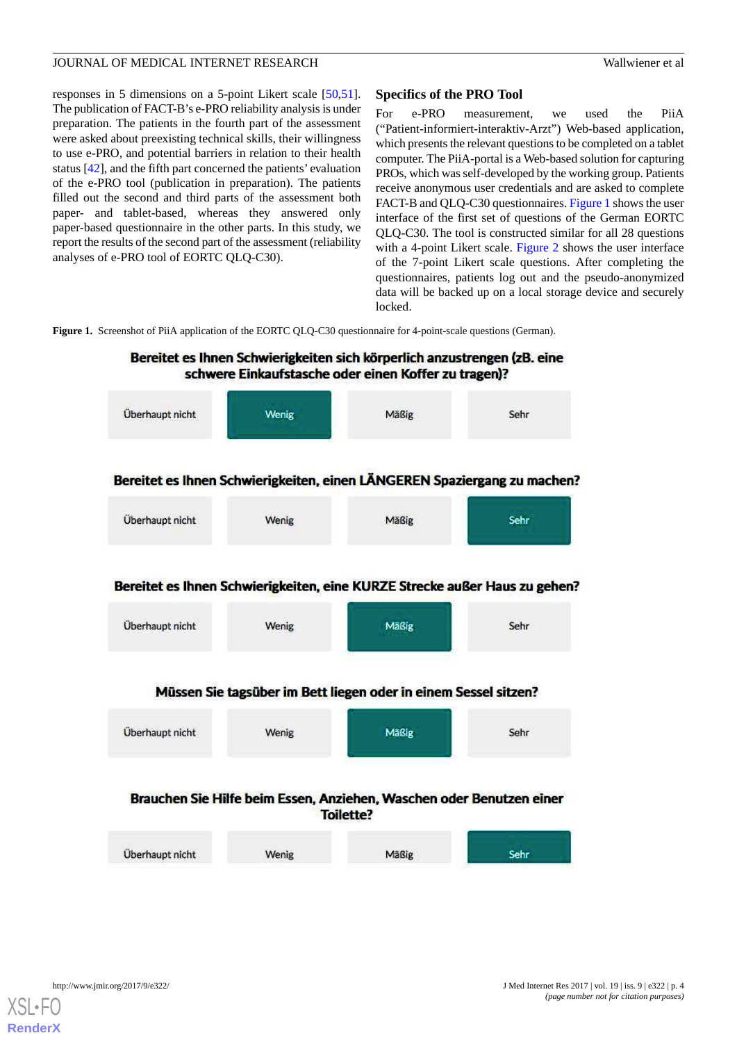responses in 5 dimensions on a 5-point Likert scale [\[50](#page-14-2),[51\]](#page-14-3). The publication of FACT-B's e-PRO reliability analysis is under preparation. The patients in the fourth part of the assessment were asked about preexisting technical skills, their willingness to use e-PRO, and potential barriers in relation to their health status [[42\]](#page-13-16), and the fifth part concerned the patients' evaluation of the e-PRO tool (publication in preparation). The patients filled out the second and third parts of the assessment both paper- and tablet-based, whereas they answered only paper-based questionnaire in the other parts. In this study, we report the results of the second part of the assessment (reliability analyses of e-PRO tool of EORTC QLQ-C30).

# **Specifics of the PRO Tool**

For e-PRO measurement, we used the PiiA ("Patient-informiert-interaktiv-Arzt") Web-based application, which presents the relevant questions to be completed on a tablet computer. The PiiA-portal is a Web-based solution for capturing PROs, which was self-developed by the working group. Patients receive anonymous user credentials and are asked to complete FACT-B and QLQ-C30 questionnaires. [Figure 1](#page-3-0) shows the user interface of the first set of questions of the German EORTC QLQ-C30. The tool is constructed similar for all 28 questions with a 4-point Likert scale. [Figure 2](#page-4-0) shows the user interface of the 7-point Likert scale questions. After completing the questionnaires, patients log out and the pseudo-anonymized data will be backed up on a local storage device and securely locked.

<span id="page-3-0"></span>**Figure 1.** Screenshot of PiiA application of the EORTC QLQ-C30 questionnaire for 4-point-scale questions (German).



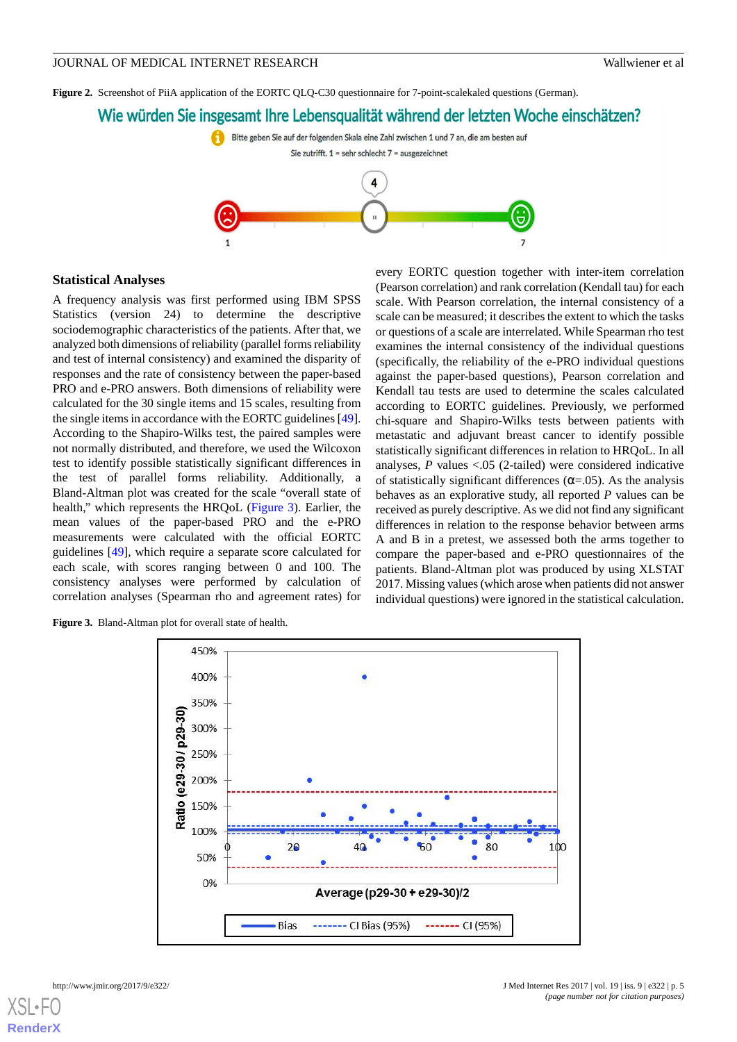<span id="page-4-0"></span>**Figure 2.** Screenshot of PiiA application of the EORTC QLQ-C30 questionnaire for 7-point-scalekaled questions (German).

# Wie würden Sie insgesamt Ihre Lebensqualität während der letzten Woche einschätzen?



#### **Statistical Analyses**

A frequency analysis was first performed using IBM SPSS Statistics (version 24) to determine the descriptive sociodemographic characteristics of the patients. After that, we analyzed both dimensions of reliability (parallel forms reliability and test of internal consistency) and examined the disparity of responses and the rate of consistency between the paper-based PRO and e-PRO answers. Both dimensions of reliability were calculated for the 30 single items and 15 scales, resulting from the single items in accordance with the EORTC guidelines [[49\]](#page-14-1). According to the Shapiro-Wilks test, the paired samples were not normally distributed, and therefore, we used the Wilcoxon test to identify possible statistically significant differences in the test of parallel forms reliability. Additionally, a Bland-Altman plot was created for the scale "overall state of health," which represents the HRQoL ([Figure 3\)](#page-4-1). Earlier, the mean values of the paper-based PRO and the e-PRO measurements were calculated with the official EORTC guidelines [\[49](#page-14-1)], which require a separate score calculated for each scale, with scores ranging between 0 and 100. The consistency analyses were performed by calculation of correlation analyses (Spearman rho and agreement rates) for

every EORTC question together with inter-item correlation (Pearson correlation) and rank correlation (Kendall tau) for each scale. With Pearson correlation, the internal consistency of a scale can be measured; it describes the extent to which the tasks or questions of a scale are interrelated. While Spearman rho test examines the internal consistency of the individual questions (specifically, the reliability of the e-PRO individual questions against the paper-based questions), Pearson correlation and Kendall tau tests are used to determine the scales calculated according to EORTC guidelines. Previously, we performed chi-square and Shapiro-Wilks tests between patients with metastatic and adjuvant breast cancer to identify possible statistically significant differences in relation to HRQoL. In all analyses,  $P$  values <.05 (2-tailed) were considered indicative of statistically significant differences ( $\alpha$ =.05). As the analysis behaves as an explorative study, all reported *P* values can be received as purely descriptive. As we did not find any significant differences in relation to the response behavior between arms A and B in a pretest, we assessed both the arms together to compare the paper-based and e-PRO questionnaires of the patients. Bland-Altman plot was produced by using XLSTAT 2017. Missing values (which arose when patients did not answer individual questions) were ignored in the statistical calculation.

<span id="page-4-1"></span>**Figure 3.** Bland-Altman plot for overall state of health.

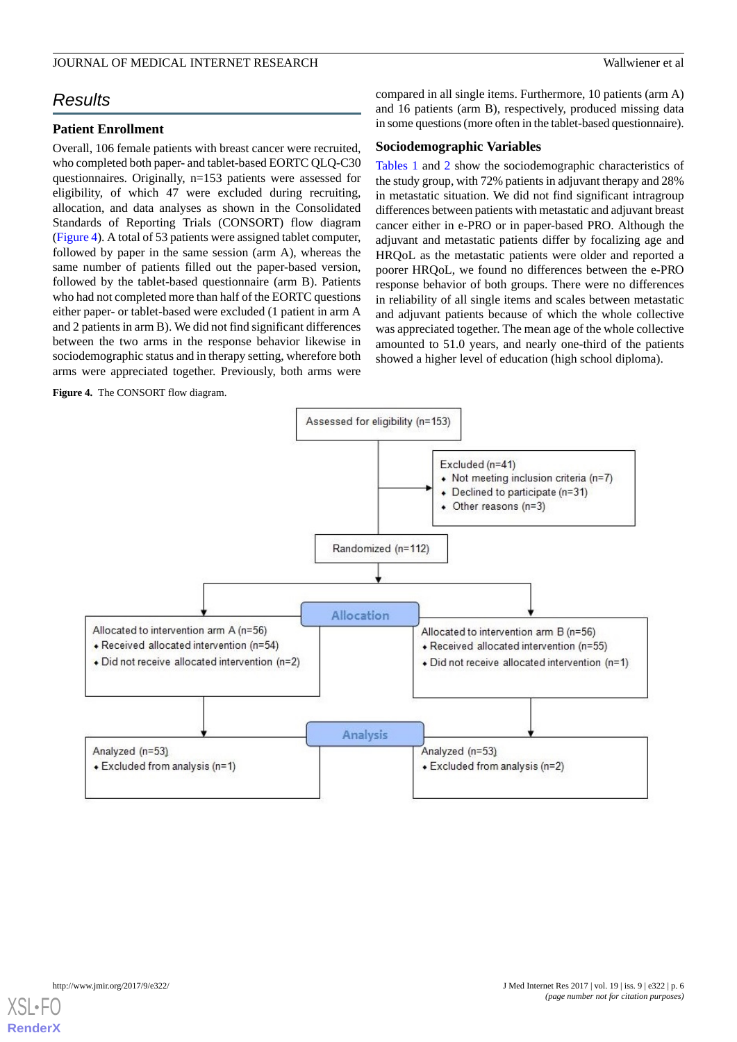# *Results*

## **Patient Enrollment**

Overall, 106 female patients with breast cancer were recruited, who completed both paper- and tablet-based EORTC OLO-C30 questionnaires. Originally, n=153 patients were assessed for eligibility, of which 47 were excluded during recruiting, allocation, and data analyses as shown in the Consolidated Standards of Reporting Trials (CONSORT) flow diagram ([Figure 4\)](#page-5-0). A total of 53 patients were assigned tablet computer, followed by paper in the same session (arm A), whereas the same number of patients filled out the paper-based version, followed by the tablet-based questionnaire (arm B). Patients who had not completed more than half of the EORTC questions either paper- or tablet-based were excluded (1 patient in arm A and 2 patients in arm B). We did not find significant differences between the two arms in the response behavior likewise in sociodemographic status and in therapy setting, wherefore both arms were appreciated together. Previously, both arms were

<span id="page-5-0"></span>**Figure 4.** The CONSORT flow diagram.

compared in all single items. Furthermore, 10 patients (arm A) and 16 patients (arm B), respectively, produced missing data in some questions (more often in the tablet-based questionnaire).

#### **Sociodemographic Variables**

[Tables 1](#page-6-0) and [2](#page-6-1) show the sociodemographic characteristics of the study group, with 72% patients in adjuvant therapy and 28% in metastatic situation. We did not find significant intragroup differences between patients with metastatic and adjuvant breast cancer either in e-PRO or in paper-based PRO. Although the adjuvant and metastatic patients differ by focalizing age and HRQoL as the metastatic patients were older and reported a poorer HRQoL, we found no differences between the e-PRO response behavior of both groups. There were no differences in reliability of all single items and scales between metastatic and adjuvant patients because of which the whole collective was appreciated together. The mean age of the whole collective amounted to 51.0 years, and nearly one-third of the patients showed a higher level of education (high school diploma).



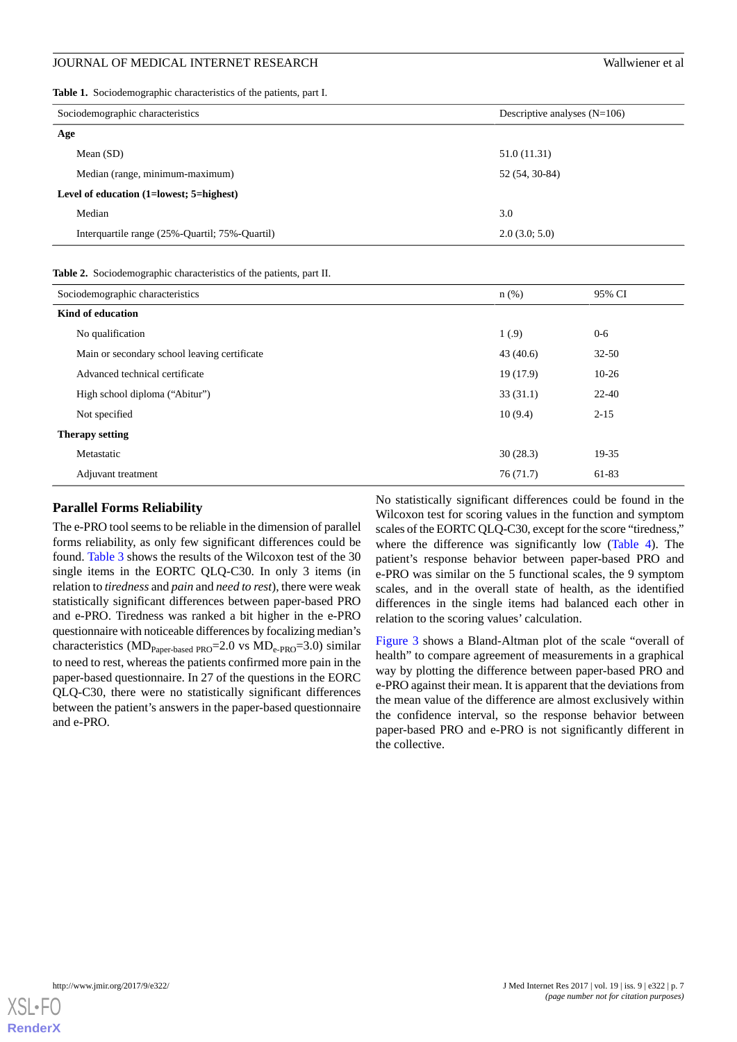<span id="page-6-0"></span>**Table 1.** Sociodemographic characteristics of the patients, part I.

| Sociodemographic characteristics               | Descriptive analyses $(N=106)$ |  |  |  |
|------------------------------------------------|--------------------------------|--|--|--|
| Age                                            |                                |  |  |  |
| Mean $(SD)$                                    | 51.0 (11.31)                   |  |  |  |
| Median (range, minimum-maximum)                | 52 (54, 30-84)                 |  |  |  |
| Level of education (1=lowest; 5=highest)       |                                |  |  |  |
| Median                                         | 3.0                            |  |  |  |
| Interquartile range (25%-Quartil; 75%-Quartil) | 2.0(3.0; 5.0)                  |  |  |  |
|                                                |                                |  |  |  |

<span id="page-6-1"></span>

|  | Table 2. Sociodemographic characteristics of the patients, part II. |  |  |  |  |
|--|---------------------------------------------------------------------|--|--|--|--|
|--|---------------------------------------------------------------------|--|--|--|--|

| Sociodemographic characteristics             | $n$ (%)  | 95% CI    |  |  |  |
|----------------------------------------------|----------|-----------|--|--|--|
| Kind of education                            |          |           |  |  |  |
| No qualification                             | 1(0.9)   | $0 - 6$   |  |  |  |
| Main or secondary school leaving certificate | 43(40.6) | $32 - 50$ |  |  |  |
| Advanced technical certificate               | 19(17.9) | $10-26$   |  |  |  |
| High school diploma ("Abitur")               | 33(31.1) | $22 - 40$ |  |  |  |
| Not specified                                | 10(9.4)  | $2 - 15$  |  |  |  |
| <b>Therapy setting</b>                       |          |           |  |  |  |
| Metastatic                                   | 30(28.3) | 19-35     |  |  |  |
| Adjuvant treatment                           | 76(71.7) | 61-83     |  |  |  |

#### **Parallel Forms Reliability**

The e-PRO tool seems to be reliable in the dimension of parallel forms reliability, as only few significant differences could be found. [Table 3](#page-7-0) shows the results of the Wilcoxon test of the 30 single items in the EORTC QLQ-C30. In only 3 items (in relation to *tiredness* and *pain* and *need to rest*), there were weak statistically significant differences between paper-based PRO and e-PRO. Tiredness was ranked a bit higher in the e-PRO questionnaire with noticeable differences by focalizing median's characteristics ( $MD_{Paper\text{-}based}$  PRO=2.0 vs  $MD_{e\text{-}PRO}$ =3.0) similar to need to rest, whereas the patients confirmed more pain in the paper-based questionnaire. In 27 of the questions in the EORC QLQ-C30, there were no statistically significant differences between the patient's answers in the paper-based questionnaire and e-PRO.

No statistically significant differences could be found in the Wilcoxon test for scoring values in the function and symptom scales of the EORTC QLQ-C30, except for the score "tiredness," where the difference was significantly low [\(Table 4](#page-8-0)). The patient's response behavior between paper-based PRO and e-PRO was similar on the 5 functional scales, the 9 symptom scales, and in the overall state of health, as the identified differences in the single items had balanced each other in relation to the scoring values' calculation.

[Figure 3](#page-4-1) shows a Bland-Altman plot of the scale "overall of health" to compare agreement of measurements in a graphical way by plotting the difference between paper-based PRO and e-PRO against their mean. It is apparent that the deviations from the mean value of the difference are almost exclusively within the confidence interval, so the response behavior between paper-based PRO and e-PRO is not significantly different in the collective.

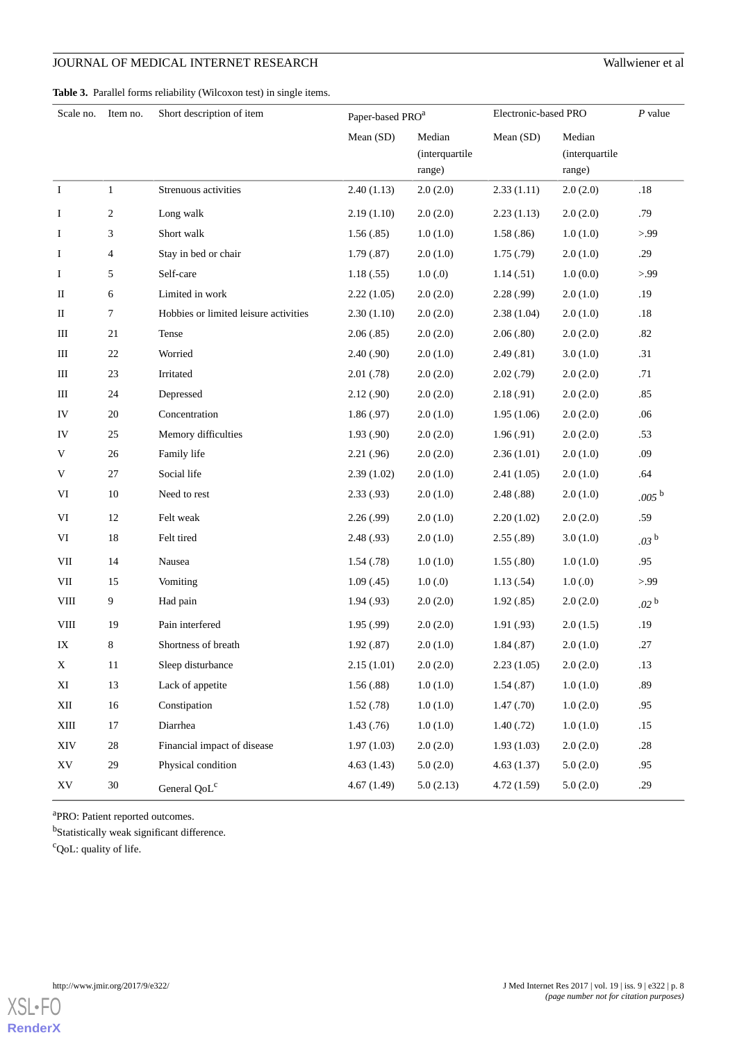<span id="page-7-0"></span>**Table 3.** Parallel forms reliability (Wilcoxon test) in single items.

| Scale no.     | Item no.       | Short description of item             |            | Paper-based PRO <sup>a</sup>       |            | Electronic-based PRO               | P value          |
|---------------|----------------|---------------------------------------|------------|------------------------------------|------------|------------------------------------|------------------|
|               |                |                                       | Mean (SD)  | Median<br>(interquartile<br>range) | Mean (SD)  | Median<br>(interquartile<br>range) |                  |
| $\rm I$       | $\mathbf{1}$   | Strenuous activities                  | 2.40(1.13) | 2.0(2.0)                           | 2.33(1.11) | 2.0(2.0)                           | $.18\,$          |
| I             | 2              | Long walk                             | 2.19(1.10) | 2.0(2.0)                           | 2.23(1.13) | 2.0(2.0)                           | .79              |
| I             | 3              | Short walk                            | 1.56(.85)  | 1.0(1.0)                           | 1.58(.86)  | 1.0(1.0)                           | > 99             |
| I             | 4              | Stay in bed or chair                  | 1.79(.87)  | 2.0(1.0)                           | 1.75(0.79) | 2.0(1.0)                           | .29              |
| Ι.            | 5              | Self-care                             | 1.18(.55)  | 1.0(0)                             | 1.14(0.51) | 1.0(0.0)                           | > 99             |
| $\rm II$      | 6              | Limited in work                       | 2.22(1.05) | 2.0(2.0)                           | 2.28(.99)  | 2.0(1.0)                           | .19              |
| П             | 7              | Hobbies or limited leisure activities | 2.30(1.10) | 2.0(2.0)                           | 2.38(1.04) | 2.0(1.0)                           | .18              |
| Ш             | 21             | Tense                                 | 2.06(.85)  | 2.0(2.0)                           | 2.06(.80)  | 2.0(2.0)                           | $.82\,$          |
| Ш             | $22\,$         | Worried                               | 2.40(0.90) | 2.0(1.0)                           | 2.49(.81)  | 3.0(1.0)                           | .31              |
| Ш             | 23             | Irritated                             | 2.01(.78)  | 2.0(2.0)                           | 2.02(0.79) | 2.0(2.0)                           | .71              |
| Ш             | 24             | Depressed                             | 2.12(0.90) | 2.0(2.0)                           | 2.18(0.91) | 2.0(2.0)                           | .85              |
| IV            | $20\,$         | Concentration                         | 1.86(.97)  | 2.0(1.0)                           | 1.95(1.06) | 2.0(2.0)                           | .06              |
| IV            | 25             | Memory difficulties                   | 1.93(0.90) | 2.0(2.0)                           | 1.96(.91)  | 2.0(2.0)                           | .53              |
| V             | 26             | Family life                           | 2.21(.96)  | 2.0(2.0)                           | 2.36(1.01) | 2.0(1.0)                           | .09              |
| V             | 27             | Social life                           | 2.39(1.02) | 2.0(1.0)                           | 2.41(1.05) | 2.0(1.0)                           | .64              |
| VI            | 10             | Need to rest                          | 2.33(.93)  | 2.0(1.0)                           | 2.48(.88)  | 2.0(1.0)                           | $.005^{b}$       |
| VI            | 12             | Felt weak                             | 2.26(.99)  | 2.0(1.0)                           | 2.20(1.02) | 2.0(2.0)                           | .59              |
| VI            | 18             | Felt tired                            | 2.48(.93)  | 2.0(1.0)                           | 2.55(.89)  | 3.0(1.0)                           | .03 <sup>b</sup> |
| $\rm{VII}$    | 14             | Nausea                                | 1.54(0.78) | 1.0(1.0)                           | 1.55(.80)  | 1.0(1.0)                           | .95              |
| VII           | 15             | Vomiting                              | 1.09(0.45) | 1.0(0)                             | 1.13(.54)  | 1.0(0)                             | > 99             |
| <b>VIII</b>   | $\overline{9}$ | Had pain                              | 1.94(0.93) | 2.0(2.0)                           | 1.92(.85)  | 2.0(2.0)                           | .02 <sup>b</sup> |
| ${\rm VIII}$  | 19             | Pain interfered                       | 1.95(.99)  | 2.0(2.0)                           | 1.91(.93)  | 2.0(1.5)                           | .19              |
| IX            | 8              | Shortness of breath                   | 1.92(.87)  | 2.0(1.0)                           | 1.84(.87)  | 2.0(1.0)                           | .27              |
| X             | 11             | Sleep disturbance                     | 2.15(1.01) | 2.0(2.0)                           | 2.23(1.05) | 2.0(2.0)                           | .13              |
| XI            | 13             | Lack of appetite                      | 1.56(.88)  | 1.0(1.0)                           | 1.54(0.87) | 1.0(1.0)                           | .89              |
| XII           | $16\,$         | Constipation                          | 1.52(.78)  | 1.0(1.0)                           | 1.47(0.70) | 1.0(2.0)                           | .95              |
| $\mbox{XIII}$ | 17             | Diarrhea                              | 1.43(.76)  | 1.0(1.0)                           | 1.40(0.72) | 1.0(1.0)                           | .15              |
| XIV           | 28             | Financial impact of disease           | 1.97(1.03) | 2.0(2.0)                           | 1.93(1.03) | 2.0(2.0)                           | $.28\,$          |
| XV            | 29             | Physical condition                    | 4.63(1.43) | 5.0(2.0)                           | 4.63(1.37) | 5.0(2.0)                           | .95              |
| XV            | 30             | General QoL <sup>c</sup>              | 4.67(1.49) | 5.0(2.13)                          | 4.72(1.59) | 5.0(2.0)                           | .29              |

<sup>a</sup>PRO: Patient reported outcomes.

<sup>b</sup>Statistically weak significant difference.

<sup>c</sup>QoL: quality of life.

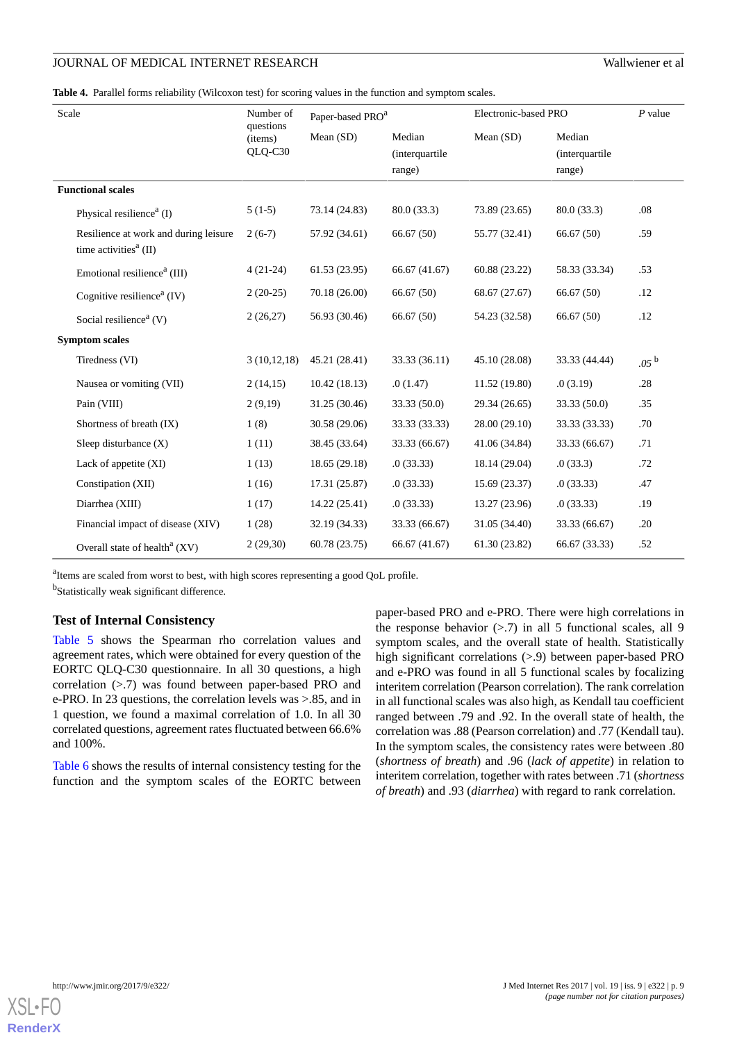<span id="page-8-0"></span>**Table 4.** Parallel forms reliability (Wilcoxon test) for scoring values in the function and symptom scales.

| Scale                                                                                   | Number of                       | Paper-based PRO <sup>a</sup> |                                    | Electronic-based PRO |                                            | $P$ value        |
|-----------------------------------------------------------------------------------------|---------------------------------|------------------------------|------------------------------------|----------------------|--------------------------------------------|------------------|
|                                                                                         | questions<br>(items)<br>QLQ-C30 | Mean (SD)                    | Median<br>(interquartile<br>range) | Mean (SD)            | Median<br><i>(interquartile)</i><br>range) |                  |
| <b>Functional scales</b>                                                                |                                 |                              |                                    |                      |                                            |                  |
| Physical resilience <sup><math>a</math></sup> (I)                                       | $5(1-5)$                        | 73.14 (24.83)                | 80.0 (33.3)                        | 73.89 (23.65)        | 80.0(33.3)                                 | .08              |
| Resilience at work and during leisure<br>time activities <sup><math>a</math></sup> (II) | $2(6-7)$                        | 57.92 (34.61)                | 66.67 (50)                         | 55.77 (32.41)        | 66.67(50)                                  | .59              |
| Emotional resilience <sup>a</sup> (III)                                                 | $4(21-24)$                      | 61.53(23.95)                 | 66.67 (41.67)                      | 60.88 (23.22)        | 58.33 (33.34)                              | .53              |
| Cognitive resilience <sup><math>a</math></sup> (IV)                                     | $2(20-25)$                      | 70.18 (26.00)                | 66.67(50)                          | 68.67 (27.67)        | 66.67(50)                                  | .12              |
| Social resilience <sup>a</sup> (V)                                                      | 2(26,27)                        | 56.93 (30.46)                | 66.67(50)                          | 54.23 (32.58)        | 66.67 (50)                                 | .12              |
| <b>Symptom scales</b>                                                                   |                                 |                              |                                    |                      |                                            |                  |
| Tiredness (VI)                                                                          | 3(10,12,18)                     | 45.21 (28.41)                | 33.33 (36.11)                      | 45.10 (28.08)        | 33.33 (44.44)                              | .05 <sup>b</sup> |
| Nausea or vomiting (VII)                                                                | 2(14,15)                        | 10.42(18.13)                 | .0(1.47)                           | 11.52 (19.80)        | .0(3.19)                                   | .28              |
| Pain (VIII)                                                                             | 2(9,19)                         | 31.25 (30.46)                | 33.33 (50.0)                       | 29.34 (26.65)        | 33.33 (50.0)                               | .35              |
| Shortness of breath (IX)                                                                | 1(8)                            | 30.58 (29.06)                | 33.33 (33.33)                      | 28.00 (29.10)        | 33.33 (33.33)                              | .70              |
| Sleep disturbance $(X)$                                                                 | 1(11)                           | 38.45 (33.64)                | 33.33 (66.67)                      | 41.06 (34.84)        | 33.33 (66.67)                              | .71              |
| Lack of appetite (XI)                                                                   | 1(13)                           | 18.65(29.18)                 | .0(33.33)                          | 18.14 (29.04)        | .0(33.3)                                   | .72              |
| Constipation (XII)                                                                      | 1(16)                           | 17.31 (25.87)                | .0(33.33)                          | 15.69 (23.37)        | .0(33.33)                                  | .47              |
| Diarrhea (XIII)                                                                         | 1(17)                           | 14.22(25.41)                 | .0(33.33)                          | 13.27 (23.96)        | .0(33.33)                                  | .19              |
| Financial impact of disease (XIV)                                                       | 1(28)                           | 32.19 (34.33)                | 33.33 (66.67)                      | 31.05 (34.40)        | 33.33 (66.67)                              | .20              |
| Overall state of health <sup>a</sup> $(XV)$                                             | 2(29,30)                        | 60.78 (23.75)                | 66.67 (41.67)                      | 61.30 (23.82)        | 66.67 (33.33)                              | .52              |

<sup>a</sup>Items are scaled from worst to best, with high scores representing a good QoL profile.

<sup>b</sup>Statistically weak significant difference.

#### **Test of Internal Consistency**

[Table 5](#page-9-0) shows the Spearman rho correlation values and agreement rates, which were obtained for every question of the EORTC QLQ-C30 questionnaire. In all 30 questions, a high correlation (>.7) was found between paper-based PRO and e-PRO. In 23 questions, the correlation levels was >.85, and in 1 question, we found a maximal correlation of 1.0. In all 30 correlated questions, agreement rates fluctuated between 66.6% and 100%.

[Table 6](#page-10-0) shows the results of internal consistency testing for the function and the symptom scales of the EORTC between

paper-based PRO and e-PRO. There were high correlations in the response behavior  $(> 0.7)$  in all 5 functional scales, all 9 symptom scales, and the overall state of health. Statistically high significant correlations (>.9) between paper-based PRO and e-PRO was found in all 5 functional scales by focalizing interitem correlation (Pearson correlation). The rank correlation in all functional scales was also high, as Kendall tau coefficient ranged between .79 and .92. In the overall state of health, the correlation was .88 (Pearson correlation) and .77 (Kendall tau). In the symptom scales, the consistency rates were between .80 (*shortness of breath*) and .96 (*lack of appetite*) in relation to interitem correlation, together with rates between .71 (*shortness of breath*) and .93 (*diarrhea*) with regard to rank correlation.

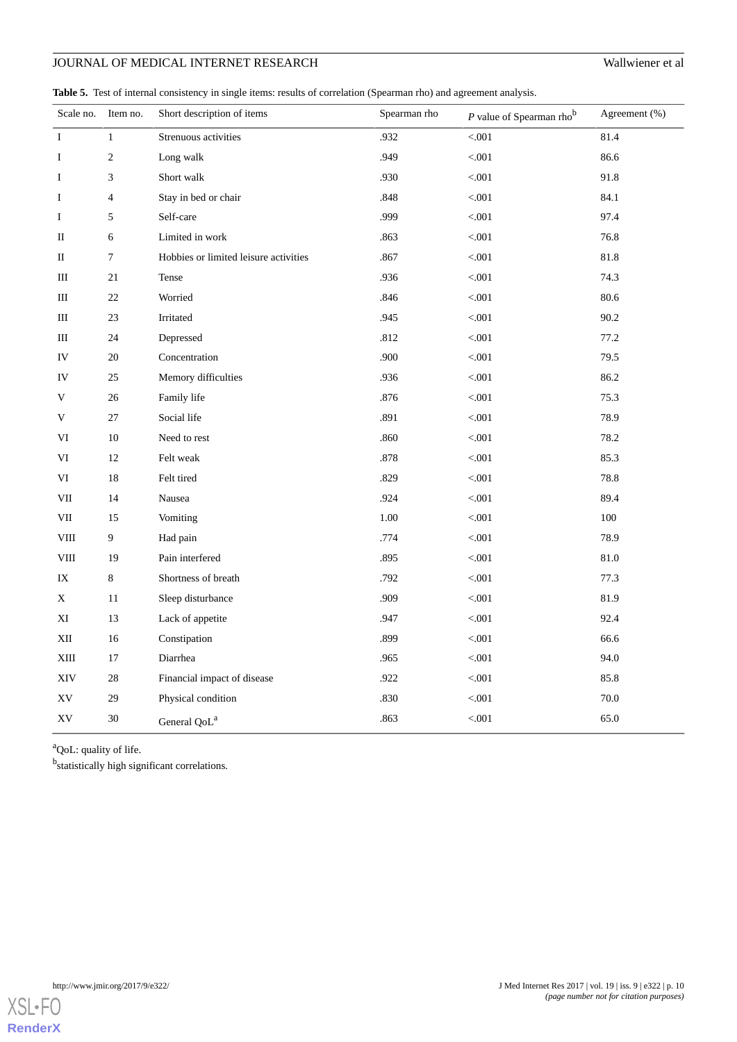<span id="page-9-0"></span>Table 5. Test of internal consistency in single items: results of correlation (Spearman rho) and agreement analysis.

| Scale no.     | Item no.       | Short description of items            | Spearman rho | $P$ value of Spearman rho <sup>b</sup> | Agreement (%) |
|---------------|----------------|---------------------------------------|--------------|----------------------------------------|---------------|
| $\rm I$       | $\mathbf{1}$   | Strenuous activities                  | .932         | $< 001$                                | 81.4          |
| Ι             | $\mathbf{2}$   | Long walk                             | .949         | < .001                                 | 86.6          |
| I             | 3              | Short walk                            | .930         | < 0.001                                | 91.8          |
| $\rm I$       | $\overline{4}$ | Stay in bed or chair                  | .848         | < .001                                 | 84.1          |
| I             | 5              | Self-care                             | .999         | < 0.001                                | 97.4          |
| П             | 6              | Limited in work                       | .863         | < .001                                 | 76.8          |
| П             | $\tau$         | Hobbies or limited leisure activities | .867         | < 0.001                                | 81.8          |
| Ш             | 21             | Tense                                 | .936         | < 0.001                                | 74.3          |
| Ш             | 22             | Worried                               | .846         | < .001                                 | 80.6          |
| Ш             | 23             | Irritated                             | .945         | < 0.001                                | 90.2          |
| Ш             | 24             | Depressed                             | .812         | < 0.001                                | 77.2          |
| IV            | 20             | Concentration                         | .900         | < .001                                 | 79.5          |
| IV            | 25             | Memory difficulties                   | .936         | < 0.001                                | 86.2          |
| V             | 26             | Family life                           | .876         | < .001                                 | 75.3          |
| V             | 27             | Social life                           | .891         | < 0.001                                | 78.9          |
| VI            | 10             | Need to rest                          | .860         | < 0.001                                | 78.2          |
| VI            | 12             | Felt weak                             | .878         | < .001                                 | 85.3          |
| VI            | 18             | Felt tired                            | .829         | < 0.001                                | 78.8          |
| VII           | 14             | Nausea                                | .924         | $< 001$                                | 89.4          |
| VII           | 15             | Vomiting                              | 1.00         | < 0.001                                | 100           |
| VIII          | 9              | Had pain                              | .774         | < 0.001                                | 78.9          |
| $_{\rm VIII}$ | 19             | Pain interfered                       | .895         | < .001                                 | 81.0          |
| IX            | 8              | Shortness of breath                   | .792         | < 0.001                                | 77.3          |
| X             | 11             | Sleep disturbance                     | .909         | $< 001$                                | 81.9          |
| ΧI            | 13             | Lack of appetite                      | .947         | < 0.001                                | 92.4          |
| XII           | 16             | Constipation                          | .899         | < 0.001                                | 66.6          |
| XIII          | 17             | Diarrhea                              | .965         | < .001                                 | 94.0          |
| XIV           | 28             | Financial impact of disease           | .922         | < 0.001                                | 85.8          |
| XV            | 29             | Physical condition                    | .830         | $<\!\!.001$                            | $70.0\,$      |
| XV            | 30             | General QoL <sup>a</sup>              | .863         | < .001                                 | 65.0          |

<sup>a</sup>QoL: quality of life.

<sup>b</sup>statistically high significant correlations.

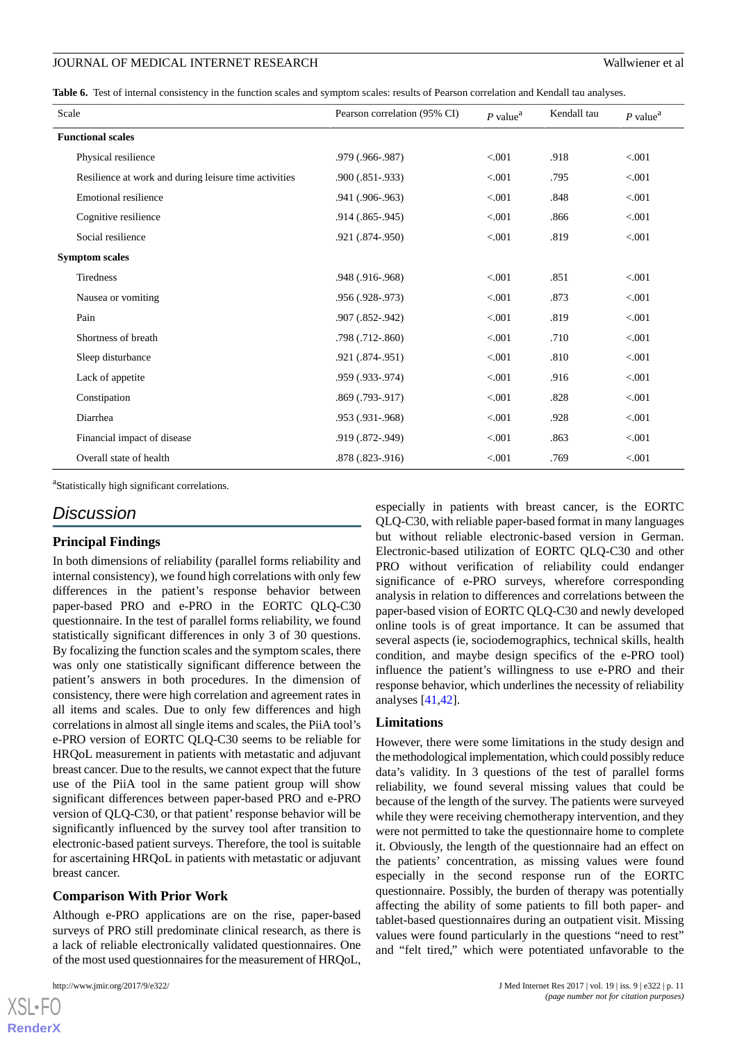<span id="page-10-0"></span>Table 6. Test of internal consistency in the function scales and symptom scales: results of Pearson correlation and Kendall tau analyses.

| Scale                 |                                                       | Pearson correlation (95% CI) | $P$ value <sup>a</sup> | Kendall tau | $P$ value <sup><math>a</math></sup> |
|-----------------------|-------------------------------------------------------|------------------------------|------------------------|-------------|-------------------------------------|
|                       | <b>Functional scales</b>                              |                              |                        |             |                                     |
|                       | Physical resilience                                   | .979 (.966-.987)             | < 0.001                | .918        | < 0.001                             |
|                       | Resilience at work and during leisure time activities | $.900(.851-.933)$            | < 0.001                | .795        | < 0.001                             |
|                       | Emotional resilience                                  | .941 (.906-.963)             | < 0.001                | .848        | < 0.001                             |
|                       | Cognitive resilience                                  | .914 (.865-.945)             | < 0.001                | .866        | < 0.001                             |
|                       | Social resilience                                     | .921 (.874-.950)             | < 0.001                | .819        | < 0.001                             |
| <b>Symptom scales</b> |                                                       |                              |                        |             |                                     |
|                       | <b>Tiredness</b>                                      | .948 (.916-.968)             | < 0.001                | .851        | < 0.001                             |
|                       | Nausea or vomiting                                    | .956 (.928-.973)             | < 0.01                 | .873        | < 0.001                             |
|                       | Pain                                                  | .907 (.852-.942)             | < 0.001                | .819        | < 0.001                             |
|                       | Shortness of breath                                   | .798 (.712-.860)             | < 0.001                | .710        | < 0.001                             |
|                       | Sleep disturbance                                     | .921 (.874-.951)             | < 0.001                | .810        | < 0.001                             |
|                       | Lack of appetite                                      | .959 (.933-.974)             | < 0.001                | .916        | < 0.001                             |
|                       | Constipation                                          | .869 (.793-.917)             | < 0.001                | .828        | < 0.001                             |
|                       | Diarrhea                                              | .953 (.931-.968)             | < 0.001                | .928        | < 0.001                             |
|                       | Financial impact of disease                           | .919 (.872-.949)             | < 0.001                | .863        | < 0.001                             |
|                       | Overall state of health                               | .878 (.823-.916)             | < 0.001                | .769        | < 0.001                             |

<sup>a</sup>Statistically high significant correlations.

# *Discussion*

#### **Principal Findings**

In both dimensions of reliability (parallel forms reliability and internal consistency), we found high correlations with only few differences in the patient's response behavior between paper-based PRO and e-PRO in the EORTC QLQ-C30 questionnaire. In the test of parallel forms reliability, we found statistically significant differences in only 3 of 30 questions. By focalizing the function scales and the symptom scales, there was only one statistically significant difference between the patient's answers in both procedures. In the dimension of consistency, there were high correlation and agreement rates in all items and scales. Due to only few differences and high correlations in almost all single items and scales, the PiiA tool's e-PRO version of EORTC QLQ-C30 seems to be reliable for HRQoL measurement in patients with metastatic and adjuvant breast cancer. Due to the results, we cannot expect that the future use of the PiiA tool in the same patient group will show significant differences between paper-based PRO and e-PRO version of QLQ-C30, or that patient' response behavior will be significantly influenced by the survey tool after transition to electronic-based patient surveys. Therefore, the tool is suitable for ascertaining HRQoL in patients with metastatic or adjuvant breast cancer.

#### **Comparison With Prior Work**

Although e-PRO applications are on the rise, paper-based surveys of PRO still predominate clinical research, as there is a lack of reliable electronically validated questionnaires. One of the most used questionnaires for the measurement of HRQoL,

 $XS$  $\cdot$ FC **[RenderX](http://www.renderx.com/)** especially in patients with breast cancer, is the EORTC QLQ-C30, with reliable paper-based format in many languages but without reliable electronic-based version in German. Electronic-based utilization of EORTC QLQ-C30 and other PRO without verification of reliability could endanger significance of e-PRO surveys, wherefore corresponding analysis in relation to differences and correlations between the paper-based vision of EORTC QLQ-C30 and newly developed online tools is of great importance. It can be assumed that several aspects (ie, sociodemographics, technical skills, health condition, and maybe design specifics of the e-PRO tool) influence the patient's willingness to use e-PRO and their response behavior, which underlines the necessity of reliability analyses [\[41](#page-13-11),[42\]](#page-13-16).

#### **Limitations**

However, there were some limitations in the study design and the methodological implementation, which could possibly reduce data's validity. In 3 questions of the test of parallel forms reliability, we found several missing values that could be because of the length of the survey. The patients were surveyed while they were receiving chemotherapy intervention, and they were not permitted to take the questionnaire home to complete it. Obviously, the length of the questionnaire had an effect on the patients' concentration, as missing values were found especially in the second response run of the EORTC questionnaire. Possibly, the burden of therapy was potentially affecting the ability of some patients to fill both paper- and tablet-based questionnaires during an outpatient visit. Missing values were found particularly in the questions "need to rest" and "felt tired," which were potentiated unfavorable to the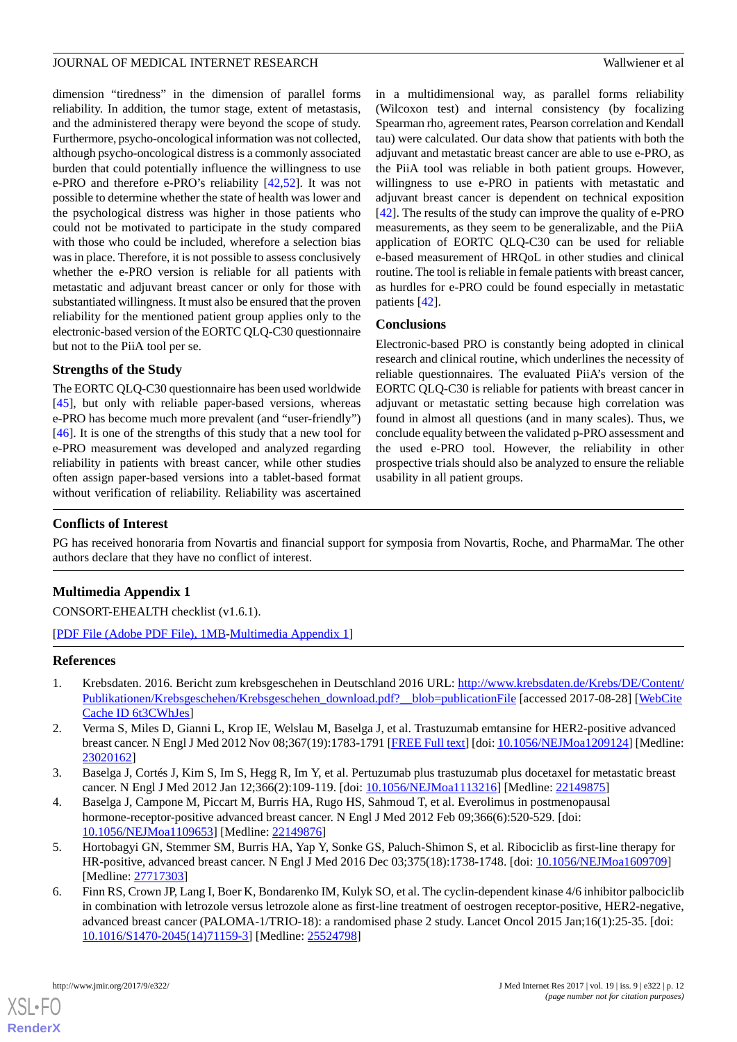dimension "tiredness" in the dimension of parallel forms reliability. In addition, the tumor stage, extent of metastasis, and the administered therapy were beyond the scope of study. Furthermore, psycho-oncological information was not collected, although psycho-oncological distress is a commonly associated burden that could potentially influence the willingness to use e-PRO and therefore e-PRO's reliability [\[42](#page-13-16),[52\]](#page-14-4). It was not possible to determine whether the state of health was lower and the psychological distress was higher in those patients who could not be motivated to participate in the study compared with those who could be included, wherefore a selection bias was in place. Therefore, it is not possible to assess conclusively whether the e-PRO version is reliable for all patients with metastatic and adjuvant breast cancer or only for those with substantiated willingness. It must also be ensured that the proven reliability for the mentioned patient group applies only to the electronic-based version of the EORTC QLQ-C30 questionnaire but not to the PiiA tool per se.

#### **Strengths of the Study**

The EORTC QLQ-C30 questionnaire has been used worldwide [[45\]](#page-13-13), but only with reliable paper-based versions, whereas e-PRO has become much more prevalent (and "user-friendly") [[46\]](#page-13-14). It is one of the strengths of this study that a new tool for e-PRO measurement was developed and analyzed regarding reliability in patients with breast cancer, while other studies often assign paper-based versions into a tablet-based format without verification of reliability. Reliability was ascertained

in a multidimensional way, as parallel forms reliability (Wilcoxon test) and internal consistency (by focalizing Spearman rho, agreement rates, Pearson correlation and Kendall tau) were calculated. Our data show that patients with both the adjuvant and metastatic breast cancer are able to use e-PRO, as the PiiA tool was reliable in both patient groups. However, willingness to use e-PRO in patients with metastatic and adjuvant breast cancer is dependent on technical exposition [[42\]](#page-13-16). The results of the study can improve the quality of e-PRO measurements, as they seem to be generalizable, and the PiiA application of EORTC QLQ-C30 can be used for reliable e-based measurement of HRQoL in other studies and clinical routine. The tool is reliable in female patients with breast cancer, as hurdles for e-PRO could be found especially in metastatic patients [[42\]](#page-13-16).

#### **Conclusions**

Electronic-based PRO is constantly being adopted in clinical research and clinical routine, which underlines the necessity of reliable questionnaires. The evaluated PiiA's version of the EORTC QLQ-C30 is reliable for patients with breast cancer in adjuvant or metastatic setting because high correlation was found in almost all questions (and in many scales). Thus, we conclude equality between the validated p-PRO assessment and the used e-PRO tool. However, the reliability in other prospective trials should also be analyzed to ensure the reliable usability in all patient groups.

#### **Conflicts of Interest**

PG has received honoraria from Novartis and financial support for symposia from Novartis, Roche, and PharmaMar. The other authors declare that they have no conflict of interest.

# **Multimedia Appendix 1**

<span id="page-11-0"></span>CONSORT-EHEALTH checklist (v1.6.1).

[[PDF File \(Adobe PDF File\), 1MB](https://jmir.org/api/download?alt_name=jmir_v19i9e322_app1.pdf&filename=50d5239da16cbe99cf153480b67296f0.pdf)-[Multimedia Appendix 1\]](https://jmir.org/api/download?alt_name=jmir_v19i9e322_app1.pdf&filename=50d5239da16cbe99cf153480b67296f0.pdf)

#### <span id="page-11-1"></span>**References**

- 1. Krebsdaten. 2016. Bericht zum krebsgeschehen in Deutschland 2016 URL: [http://www.krebsdaten.de/Krebs/DE/Content/](http://www.krebsdaten.de/Krebs/DE/Content/Publikationen/Krebsgeschehen/Krebsgeschehen_download.pdf?__blob=publicationFile) [Publikationen/Krebsgeschehen/Krebsgeschehen\\_download.pdf?\\_\\_blob=publicationFile](http://www.krebsdaten.de/Krebs/DE/Content/Publikationen/Krebsgeschehen/Krebsgeschehen_download.pdf?__blob=publicationFile) [accessed 2017-08-28] [\[WebCite](http://www.webcitation.org/

                                6t3CWhJes) [Cache ID 6t3CWhJes](http://www.webcitation.org/

                                6t3CWhJes)]
- 2. Verma S, Miles D, Gianni L, Krop IE, Welslau M, Baselga J, et al. Trastuzumab emtansine for HER2-positive advanced breast cancer. N Engl J Med 2012 Nov 08;367(19):1783-1791 [\[FREE Full text\]](http://europepmc.org/abstract/MED/23020162) [doi: [10.1056/NEJMoa1209124\]](http://dx.doi.org/10.1056/NEJMoa1209124) [Medline: [23020162](http://www.ncbi.nlm.nih.gov/entrez/query.fcgi?cmd=Retrieve&db=PubMed&list_uids=23020162&dopt=Abstract)]
- 3. Baselga J, Cortés J, Kim S, Im S, Hegg R, Im Y, et al. Pertuzumab plus trastuzumab plus docetaxel for metastatic breast cancer. N Engl J Med 2012 Jan 12;366(2):109-119. [doi: [10.1056/NEJMoa1113216\]](http://dx.doi.org/10.1056/NEJMoa1113216) [Medline: [22149875](http://www.ncbi.nlm.nih.gov/entrez/query.fcgi?cmd=Retrieve&db=PubMed&list_uids=22149875&dopt=Abstract)]
- 4. Baselga J, Campone M, Piccart M, Burris HA, Rugo HS, Sahmoud T, et al. Everolimus in postmenopausal hormone-receptor-positive advanced breast cancer. N Engl J Med 2012 Feb 09;366(6):520-529. [doi: [10.1056/NEJMoa1109653](http://dx.doi.org/10.1056/NEJMoa1109653)] [Medline: [22149876](http://www.ncbi.nlm.nih.gov/entrez/query.fcgi?cmd=Retrieve&db=PubMed&list_uids=22149876&dopt=Abstract)]
- 5. Hortobagyi GN, Stemmer SM, Burris HA, Yap Y, Sonke GS, Paluch-Shimon S, et al. Ribociclib as first-line therapy for HR-positive, advanced breast cancer. N Engl J Med 2016 Dec 03;375(18):1738-1748. [doi: [10.1056/NEJMoa1609709](http://dx.doi.org/10.1056/NEJMoa1609709)] [Medline: [27717303](http://www.ncbi.nlm.nih.gov/entrez/query.fcgi?cmd=Retrieve&db=PubMed&list_uids=27717303&dopt=Abstract)]
- 6. Finn RS, Crown JP, Lang I, Boer K, Bondarenko IM, Kulyk SO, et al. The cyclin-dependent kinase 4/6 inhibitor palbociclib in combination with letrozole versus letrozole alone as first-line treatment of oestrogen receptor-positive, HER2-negative, advanced breast cancer (PALOMA-1/TRIO-18): a randomised phase 2 study. Lancet Oncol 2015 Jan;16(1):25-35. [doi: [10.1016/S1470-2045\(14\)71159-3\]](http://dx.doi.org/10.1016/S1470-2045(14)71159-3) [Medline: [25524798](http://www.ncbi.nlm.nih.gov/entrez/query.fcgi?cmd=Retrieve&db=PubMed&list_uids=25524798&dopt=Abstract)]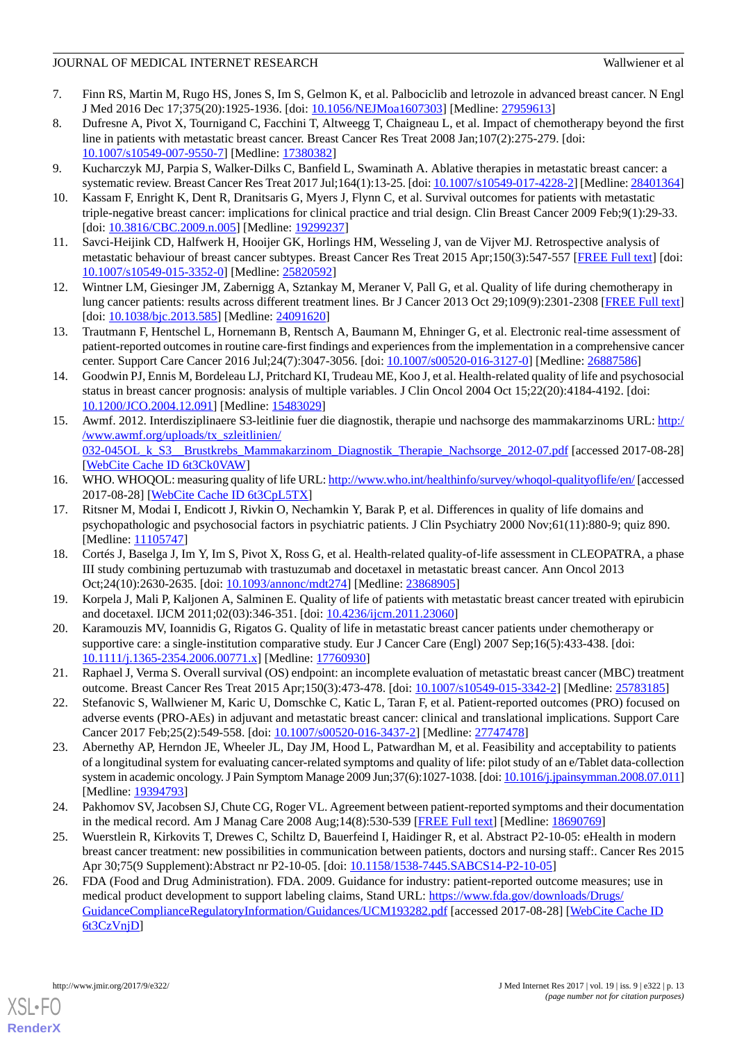- <span id="page-12-0"></span>7. Finn RS, Martin M, Rugo HS, Jones S, Im S, Gelmon K, et al. Palbociclib and letrozole in advanced breast cancer. N Engl J Med 2016 Dec 17;375(20):1925-1936. [doi: [10.1056/NEJMoa1607303\]](http://dx.doi.org/10.1056/NEJMoa1607303) [Medline: [27959613](http://www.ncbi.nlm.nih.gov/entrez/query.fcgi?cmd=Retrieve&db=PubMed&list_uids=27959613&dopt=Abstract)]
- <span id="page-12-1"></span>8. Dufresne A, Pivot X, Tournigand C, Facchini T, Altweegg T, Chaigneau L, et al. Impact of chemotherapy beyond the first line in patients with metastatic breast cancer. Breast Cancer Res Treat 2008 Jan;107(2):275-279. [doi: [10.1007/s10549-007-9550-7\]](http://dx.doi.org/10.1007/s10549-007-9550-7) [Medline: [17380382](http://www.ncbi.nlm.nih.gov/entrez/query.fcgi?cmd=Retrieve&db=PubMed&list_uids=17380382&dopt=Abstract)]
- <span id="page-12-3"></span><span id="page-12-2"></span>9. Kucharczyk MJ, Parpia S, Walker-Dilks C, Banfield L, Swaminath A. Ablative therapies in metastatic breast cancer: a systematic review. Breast Cancer Res Treat 2017 Jul;164(1):13-25. [doi: [10.1007/s10549-017-4228-2\]](http://dx.doi.org/10.1007/s10549-017-4228-2) [Medline: [28401364\]](http://www.ncbi.nlm.nih.gov/entrez/query.fcgi?cmd=Retrieve&db=PubMed&list_uids=28401364&dopt=Abstract)
- <span id="page-12-4"></span>10. Kassam F, Enright K, Dent R, Dranitsaris G, Myers J, Flynn C, et al. Survival outcomes for patients with metastatic triple-negative breast cancer: implications for clinical practice and trial design. Clin Breast Cancer 2009 Feb;9(1):29-33. [doi: [10.3816/CBC.2009.n.005\]](http://dx.doi.org/10.3816/CBC.2009.n.005) [Medline: [19299237](http://www.ncbi.nlm.nih.gov/entrez/query.fcgi?cmd=Retrieve&db=PubMed&list_uids=19299237&dopt=Abstract)]
- <span id="page-12-5"></span>11. Savci-Heijink CD, Halfwerk H, Hooijer GK, Horlings HM, Wesseling J, van de Vijver MJ. Retrospective analysis of metastatic behaviour of breast cancer subtypes. Breast Cancer Res Treat 2015 Apr;150(3):547-557 [[FREE Full text](http://europepmc.org/abstract/MED/25820592)] [doi: [10.1007/s10549-015-3352-0\]](http://dx.doi.org/10.1007/s10549-015-3352-0) [Medline: [25820592](http://www.ncbi.nlm.nih.gov/entrez/query.fcgi?cmd=Retrieve&db=PubMed&list_uids=25820592&dopt=Abstract)]
- <span id="page-12-6"></span>12. Wintner LM, Giesinger JM, Zabernigg A, Sztankay M, Meraner V, Pall G, et al. Quality of life during chemotherapy in lung cancer patients: results across different treatment lines. Br J Cancer 2013 Oct 29;109(9):2301-2308 [\[FREE Full text](http://dx.doi.org/10.1038/bjc.2013.585)] [doi: [10.1038/bjc.2013.585](http://dx.doi.org/10.1038/bjc.2013.585)] [Medline: [24091620](http://www.ncbi.nlm.nih.gov/entrez/query.fcgi?cmd=Retrieve&db=PubMed&list_uids=24091620&dopt=Abstract)]
- <span id="page-12-7"></span>13. Trautmann F, Hentschel L, Hornemann B, Rentsch A, Baumann M, Ehninger G, et al. Electronic real-time assessment of patient-reported outcomes in routine care-first findings and experiences from the implementation in a comprehensive cancer center. Support Care Cancer 2016 Jul;24(7):3047-3056. [doi: [10.1007/s00520-016-3127-0](http://dx.doi.org/10.1007/s00520-016-3127-0)] [Medline: [26887586\]](http://www.ncbi.nlm.nih.gov/entrez/query.fcgi?cmd=Retrieve&db=PubMed&list_uids=26887586&dopt=Abstract)
- <span id="page-12-8"></span>14. Goodwin PJ, Ennis M, Bordeleau LJ, Pritchard KI, Trudeau ME, Koo J, et al. Health-related quality of life and psychosocial status in breast cancer prognosis: analysis of multiple variables. J Clin Oncol 2004 Oct 15;22(20):4184-4192. [doi: [10.1200/JCO.2004.12.091](http://dx.doi.org/10.1200/JCO.2004.12.091)] [Medline: [15483029\]](http://www.ncbi.nlm.nih.gov/entrez/query.fcgi?cmd=Retrieve&db=PubMed&list_uids=15483029&dopt=Abstract)
- <span id="page-12-9"></span>15. Awmf. 2012. Interdisziplinaere S3-leitlinie fuer die diagnostik, therapie und nachsorge des mammakarzinoms URL: [http:/](http://www.awmf.org/uploads/tx_szleitlinien/032-045OL_k_S3__Brustkrebs_Mammakarzinom_Diagnostik_Therapie_Nachsorge_2012-07.pdf) [/www.awmf.org/uploads/tx\\_szleitlinien/](http://www.awmf.org/uploads/tx_szleitlinien/032-045OL_k_S3__Brustkrebs_Mammakarzinom_Diagnostik_Therapie_Nachsorge_2012-07.pdf) 032-045OL k S3\_Brustkrebs\_Mammakarzinom\_Diagnostik\_Therapie\_Nachsorge\_2012-07.pdf [accessed 2017-08-28] [[WebCite Cache ID 6t3Ck0VAW\]](http://www.webcitation.org/

                                6t3Ck0VAW)
- <span id="page-12-10"></span>16. WHO. WHOQOL: measuring quality of life URL:<http://www.who.int/healthinfo/survey/whoqol-qualityoflife/en/> [accessed 2017-08-28] [\[WebCite Cache ID 6t3CpL5TX](http://www.webcitation.org/

                                6t3CpL5TX)]
- <span id="page-12-11"></span>17. Ritsner M, Modai I, Endicott J, Rivkin O, Nechamkin Y, Barak P, et al. Differences in quality of life domains and psychopathologic and psychosocial factors in psychiatric patients. J Clin Psychiatry 2000 Nov;61(11):880-9; quiz 890. [Medline: [11105747](http://www.ncbi.nlm.nih.gov/entrez/query.fcgi?cmd=Retrieve&db=PubMed&list_uids=11105747&dopt=Abstract)]
- <span id="page-12-12"></span>18. Cortés J, Baselga J, Im Y, Im S, Pivot X, Ross G, et al. Health-related quality-of-life assessment in CLEOPATRA, a phase III study combining pertuzumab with trastuzumab and docetaxel in metastatic breast cancer. Ann Oncol 2013 Oct;24(10):2630-2635. [doi: [10.1093/annonc/mdt274](http://dx.doi.org/10.1093/annonc/mdt274)] [Medline: [23868905](http://www.ncbi.nlm.nih.gov/entrez/query.fcgi?cmd=Retrieve&db=PubMed&list_uids=23868905&dopt=Abstract)]
- <span id="page-12-13"></span>19. Korpela J, Mali P, Kaljonen A, Salminen E. Quality of life of patients with metastatic breast cancer treated with epirubicin and docetaxel. IJCM 2011;02(03):346-351. [doi: [10.4236/ijcm.2011.23060\]](http://dx.doi.org/10.4236/ijcm.2011.23060)
- <span id="page-12-14"></span>20. Karamouzis MV, Ioannidis G, Rigatos G. Quality of life in metastatic breast cancer patients under chemotherapy or supportive care: a single-institution comparative study. Eur J Cancer Care (Engl) 2007 Sep;16(5):433-438. [doi: [10.1111/j.1365-2354.2006.00771.x\]](http://dx.doi.org/10.1111/j.1365-2354.2006.00771.x) [Medline: [17760930\]](http://www.ncbi.nlm.nih.gov/entrez/query.fcgi?cmd=Retrieve&db=PubMed&list_uids=17760930&dopt=Abstract)
- <span id="page-12-15"></span>21. Raphael J, Verma S. Overall survival (OS) endpoint: an incomplete evaluation of metastatic breast cancer (MBC) treatment outcome. Breast Cancer Res Treat 2015 Apr;150(3):473-478. [doi: [10.1007/s10549-015-3342-2\]](http://dx.doi.org/10.1007/s10549-015-3342-2) [Medline: [25783185\]](http://www.ncbi.nlm.nih.gov/entrez/query.fcgi?cmd=Retrieve&db=PubMed&list_uids=25783185&dopt=Abstract)
- 22. Stefanovic S, Wallwiener M, Karic U, Domschke C, Katic L, Taran F, et al. Patient-reported outcomes (PRO) focused on adverse events (PRO-AEs) in adjuvant and metastatic breast cancer: clinical and translational implications. Support Care Cancer 2017 Feb;25(2):549-558. [doi: [10.1007/s00520-016-3437-2\]](http://dx.doi.org/10.1007/s00520-016-3437-2) [Medline: [27747478\]](http://www.ncbi.nlm.nih.gov/entrez/query.fcgi?cmd=Retrieve&db=PubMed&list_uids=27747478&dopt=Abstract)
- <span id="page-12-16"></span>23. Abernethy AP, Herndon JE, Wheeler JL, Day JM, Hood L, Patwardhan M, et al. Feasibility and acceptability to patients of a longitudinal system for evaluating cancer-related symptoms and quality of life: pilot study of an e/Tablet data-collection system in academic oncology. J Pain Symptom Manage 2009 Jun;37(6):1027-1038. [doi: [10.1016/j.jpainsymman.2008.07.011\]](http://dx.doi.org/10.1016/j.jpainsymman.2008.07.011) [Medline: [19394793](http://www.ncbi.nlm.nih.gov/entrez/query.fcgi?cmd=Retrieve&db=PubMed&list_uids=19394793&dopt=Abstract)]
- <span id="page-12-17"></span>24. Pakhomov SV, Jacobsen SJ, Chute CG, Roger VL. Agreement between patient-reported symptoms and their documentation in the medical record. Am J Manag Care 2008 Aug;14(8):530-539 [[FREE Full text](http://www.ajmc.com/pubMed.php?pii=10634)] [Medline: [18690769](http://www.ncbi.nlm.nih.gov/entrez/query.fcgi?cmd=Retrieve&db=PubMed&list_uids=18690769&dopt=Abstract)]
- 25. Wuerstlein R, Kirkovits T, Drewes C, Schiltz D, Bauerfeind I, Haidinger R, et al. Abstract P2-10-05: eHealth in modern breast cancer treatment: new possibilities in communication between patients, doctors and nursing staff:. Cancer Res 2015 Apr 30;75(9 Supplement):Abstract nr P2-10-05. [doi: [10.1158/1538-7445.SABCS14-P2-10-05](http://dx.doi.org/10.1158/1538-7445.SABCS14-P2-10-05)]
- 26. FDA (Food and Drug Administration). FDA. 2009. Guidance for industry: patient-reported outcome measures; use in medical product development to support labeling claims, Stand URL: [https://www.fda.gov/downloads/Drugs/](https://www.fda.gov/downloads/Drugs/GuidanceComplianceRegulatoryInformation/Guidances/UCM193282.pdf) [GuidanceComplianceRegulatoryInformation/Guidances/UCM193282.pdf](https://www.fda.gov/downloads/Drugs/GuidanceComplianceRegulatoryInformation/Guidances/UCM193282.pdf) [accessed 2017-08-28] [[WebCite Cache ID](http://www.webcitation.org/

                                6t3CzVnjD) [6t3CzVnjD\]](http://www.webcitation.org/

                                6t3CzVnjD)

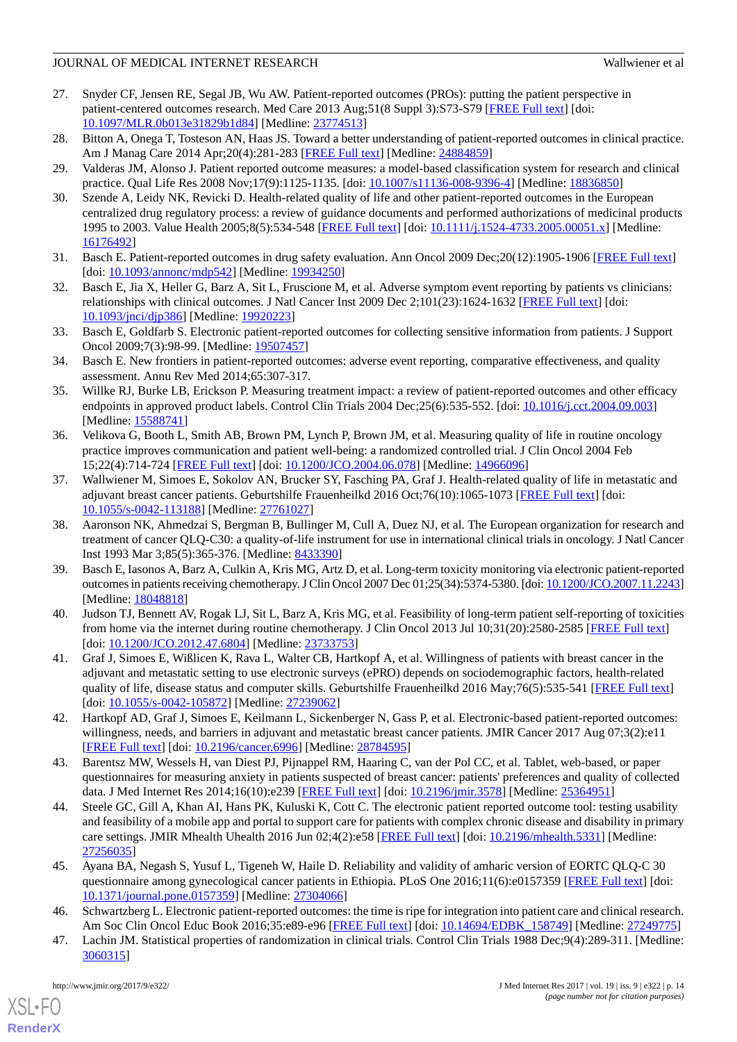- <span id="page-13-0"></span>27. Snyder CF, Jensen RE, Segal JB, Wu AW. Patient-reported outcomes (PROs): putting the patient perspective in patient-centered outcomes research. Med Care 2013 Aug;51(8 Suppl 3):S73-S79 [\[FREE Full text\]](http://europepmc.org/abstract/MED/23774513) [doi: [10.1097/MLR.0b013e31829b1d84](http://dx.doi.org/10.1097/MLR.0b013e31829b1d84)] [Medline: [23774513](http://www.ncbi.nlm.nih.gov/entrez/query.fcgi?cmd=Retrieve&db=PubMed&list_uids=23774513&dopt=Abstract)]
- <span id="page-13-1"></span>28. Bitton A, Onega T, Tosteson AN, Haas JS. Toward a better understanding of patient-reported outcomes in clinical practice. Am J Manag Care 2014 Apr;20(4):281-283 [\[FREE Full text\]](http://www.ajmc.com/pubMed.php?pii=85476) [Medline: [24884859\]](http://www.ncbi.nlm.nih.gov/entrez/query.fcgi?cmd=Retrieve&db=PubMed&list_uids=24884859&dopt=Abstract)
- <span id="page-13-2"></span>29. Valderas JM, Alonso J. Patient reported outcome measures: a model-based classification system for research and clinical practice. Qual Life Res 2008 Nov;17(9):1125-1135. [doi: [10.1007/s11136-008-9396-4](http://dx.doi.org/10.1007/s11136-008-9396-4)] [Medline: [18836850](http://www.ncbi.nlm.nih.gov/entrez/query.fcgi?cmd=Retrieve&db=PubMed&list_uids=18836850&dopt=Abstract)]
- 30. Szende A, Leidy NK, Revicki D. Health-related quality of life and other patient-reported outcomes in the European centralized drug regulatory process: a review of guidance documents and performed authorizations of medicinal products 1995 to 2003. Value Health 2005;8(5):534-548 [\[FREE Full text](https://linkinghub.elsevier.com/retrieve/pii/S1098-3015(10)60413-5)] [doi: [10.1111/j.1524-4733.2005.00051.x](http://dx.doi.org/10.1111/j.1524-4733.2005.00051.x)] [Medline: [16176492](http://www.ncbi.nlm.nih.gov/entrez/query.fcgi?cmd=Retrieve&db=PubMed&list_uids=16176492&dopt=Abstract)]
- 31. Basch E. Patient-reported outcomes in drug safety evaluation. Ann Oncol 2009 Dec;20(12):1905-1906 [\[FREE Full text\]](http://annonc.oxfordjournals.org/cgi/pmidlookup?view=long&pmid=19934250) [doi: [10.1093/annonc/mdp542\]](http://dx.doi.org/10.1093/annonc/mdp542) [Medline: [19934250](http://www.ncbi.nlm.nih.gov/entrez/query.fcgi?cmd=Retrieve&db=PubMed&list_uids=19934250&dopt=Abstract)]
- <span id="page-13-3"></span>32. Basch E, Jia X, Heller G, Barz A, Sit L, Fruscione M, et al. Adverse symptom event reporting by patients vs clinicians: relationships with clinical outcomes. J Natl Cancer Inst 2009 Dec 2;101(23):1624-1632 [[FREE Full text](http://jnci.oxfordjournals.org/cgi/pmidlookup?view=long&pmid=19920223)] [doi: [10.1093/jnci/djp386](http://dx.doi.org/10.1093/jnci/djp386)] [Medline: [19920223](http://www.ncbi.nlm.nih.gov/entrez/query.fcgi?cmd=Retrieve&db=PubMed&list_uids=19920223&dopt=Abstract)]
- <span id="page-13-4"></span>33. Basch E, Goldfarb S. Electronic patient-reported outcomes for collecting sensitive information from patients. J Support Oncol 2009;7(3):98-99. [Medline: [19507457\]](http://www.ncbi.nlm.nih.gov/entrez/query.fcgi?cmd=Retrieve&db=PubMed&list_uids=19507457&dopt=Abstract)
- <span id="page-13-5"></span>34. Basch E. New frontiers in patient-reported outcomes: adverse event reporting, comparative effectiveness, and quality assessment. Annu Rev Med 2014;65:307-317.
- <span id="page-13-6"></span>35. Willke RJ, Burke LB, Erickson P. Measuring treatment impact: a review of patient-reported outcomes and other efficacy endpoints in approved product labels. Control Clin Trials 2004 Dec;25(6):535-552. [doi: [10.1016/j.cct.2004.09.003\]](http://dx.doi.org/10.1016/j.cct.2004.09.003) [Medline: [15588741](http://www.ncbi.nlm.nih.gov/entrez/query.fcgi?cmd=Retrieve&db=PubMed&list_uids=15588741&dopt=Abstract)]
- <span id="page-13-7"></span>36. Velikova G, Booth L, Smith AB, Brown PM, Lynch P, Brown JM, et al. Measuring quality of life in routine oncology practice improves communication and patient well-being: a randomized controlled trial. J Clin Oncol 2004 Feb 15;22(4):714-724 [[FREE Full text](http://jco.ascopubs.org/cgi/pmidlookup?view=long&pmid=14966096)] [doi: [10.1200/JCO.2004.06.078](http://dx.doi.org/10.1200/JCO.2004.06.078)] [Medline: [14966096\]](http://www.ncbi.nlm.nih.gov/entrez/query.fcgi?cmd=Retrieve&db=PubMed&list_uids=14966096&dopt=Abstract)
- <span id="page-13-8"></span>37. Wallwiener M, Simoes E, Sokolov AN, Brucker SY, Fasching PA, Graf J. Health-related quality of life in metastatic and adjuvant breast cancer patients. Geburtshilfe Frauenheilkd 2016 Oct;76(10):1065-1073 [\[FREE Full text\]](http://www.thieme-connect.com/DOI/DOI?10.1055/s-0042-113188) [doi: [10.1055/s-0042-113188](http://dx.doi.org/10.1055/s-0042-113188)] [Medline: [27761027](http://www.ncbi.nlm.nih.gov/entrez/query.fcgi?cmd=Retrieve&db=PubMed&list_uids=27761027&dopt=Abstract)]
- <span id="page-13-9"></span>38. Aaronson NK, Ahmedzai S, Bergman B, Bullinger M, Cull A, Duez NJ, et al. The European organization for research and treatment of cancer QLQ-C30: a quality-of-life instrument for use in international clinical trials in oncology. J Natl Cancer Inst 1993 Mar 3;85(5):365-376. [Medline: [8433390](http://www.ncbi.nlm.nih.gov/entrez/query.fcgi?cmd=Retrieve&db=PubMed&list_uids=8433390&dopt=Abstract)]
- <span id="page-13-10"></span>39. Basch E, Iasonos A, Barz A, Culkin A, Kris MG, Artz D, et al. Long-term toxicity monitoring via electronic patient-reported outcomes in patients receiving chemotherapy. J Clin Oncol 2007 Dec 01;25(34):5374-5380. [doi: [10.1200/JCO.2007.11.2243\]](http://dx.doi.org/10.1200/JCO.2007.11.2243) [Medline: [18048818](http://www.ncbi.nlm.nih.gov/entrez/query.fcgi?cmd=Retrieve&db=PubMed&list_uids=18048818&dopt=Abstract)]
- <span id="page-13-11"></span>40. Judson TJ, Bennett AV, Rogak LJ, Sit L, Barz A, Kris MG, et al. Feasibility of long-term patient self-reporting of toxicities from home via the internet during routine chemotherapy. J Clin Oncol 2013 Jul 10;31(20):2580-2585 [\[FREE Full text\]](http://jco.ascopubs.org/cgi/pmidlookup?view=long&pmid=23733753) [doi: [10.1200/JCO.2012.47.6804](http://dx.doi.org/10.1200/JCO.2012.47.6804)] [Medline: [23733753](http://www.ncbi.nlm.nih.gov/entrez/query.fcgi?cmd=Retrieve&db=PubMed&list_uids=23733753&dopt=Abstract)]
- <span id="page-13-16"></span>41. Graf J, Simoes E, Wißlicen K, Rava L, Walter CB, Hartkopf A, et al. Willingness of patients with breast cancer in the adjuvant and metastatic setting to use electronic surveys (ePRO) depends on sociodemographic factors, health-related quality of life, disease status and computer skills. Geburtshilfe Frauenheilkd 2016 May;76(5):535-541 [[FREE Full text](http://www.thieme-connect.com/DOI/DOI?10.1055/s-0042-105872)] [doi: [10.1055/s-0042-105872\]](http://dx.doi.org/10.1055/s-0042-105872) [Medline: [27239062\]](http://www.ncbi.nlm.nih.gov/entrez/query.fcgi?cmd=Retrieve&db=PubMed&list_uids=27239062&dopt=Abstract)
- <span id="page-13-12"></span>42. Hartkopf AD, Graf J, Simoes E, Keilmann L, Sickenberger N, Gass P, et al. Electronic-based patient-reported outcomes: willingness, needs, and barriers in adjuvant and metastatic breast cancer patients. JMIR Cancer 2017 Aug 07;3(2):e11 [[FREE Full text](http://cancer.jmir.org/2017/2/e11/)] [doi: [10.2196/cancer.6996\]](http://dx.doi.org/10.2196/cancer.6996) [Medline: [28784595\]](http://www.ncbi.nlm.nih.gov/entrez/query.fcgi?cmd=Retrieve&db=PubMed&list_uids=28784595&dopt=Abstract)
- <span id="page-13-13"></span>43. Barentsz MW, Wessels H, van Diest PJ, Pijnappel RM, Haaring C, van der Pol CC, et al. Tablet, web-based, or paper questionnaires for measuring anxiety in patients suspected of breast cancer: patients' preferences and quality of collected data. J Med Internet Res 2014;16(10):e239 [[FREE Full text](http://www.jmir.org/2014/10/e239/)] [doi: [10.2196/jmir.3578\]](http://dx.doi.org/10.2196/jmir.3578) [Medline: [25364951](http://www.ncbi.nlm.nih.gov/entrez/query.fcgi?cmd=Retrieve&db=PubMed&list_uids=25364951&dopt=Abstract)]
- <span id="page-13-14"></span>44. Steele GC, Gill A, Khan AI, Hans PK, Kuluski K, Cott C. The electronic patient reported outcome tool: testing usability and feasibility of a mobile app and portal to support care for patients with complex chronic disease and disability in primary care settings. JMIR Mhealth Uhealth 2016 Jun 02;4(2):e58 [[FREE Full text](http://mhealth.jmir.org/2016/2/e58/)] [doi: [10.2196/mhealth.5331\]](http://dx.doi.org/10.2196/mhealth.5331) [Medline: [27256035](http://www.ncbi.nlm.nih.gov/entrez/query.fcgi?cmd=Retrieve&db=PubMed&list_uids=27256035&dopt=Abstract)]
- <span id="page-13-15"></span>45. Ayana BA, Negash S, Yusuf L, Tigeneh W, Haile D. Reliability and validity of amharic version of EORTC QLQ-C 30 questionnaire among gynecological cancer patients in Ethiopia. PLoS One 2016;11(6):e0157359 [[FREE Full text](http://dx.plos.org/10.1371/journal.pone.0157359)] [doi: [10.1371/journal.pone.0157359\]](http://dx.doi.org/10.1371/journal.pone.0157359) [Medline: [27304066](http://www.ncbi.nlm.nih.gov/entrez/query.fcgi?cmd=Retrieve&db=PubMed&list_uids=27304066&dopt=Abstract)]
- 46. Schwartzberg L. Electronic patient-reported outcomes: the time is ripe for integration into patient care and clinical research. Am Soc Clin Oncol Educ Book 2016;35:e89-e96 [\[FREE Full text](http://meetinglibrary.asco.org/edbook/pubmed/27249775)] [doi: [10.14694/EDBK\\_158749](http://dx.doi.org/10.14694/EDBK_158749)] [Medline: [27249775\]](http://www.ncbi.nlm.nih.gov/entrez/query.fcgi?cmd=Retrieve&db=PubMed&list_uids=27249775&dopt=Abstract)
- 47. Lachin JM. Statistical properties of randomization in clinical trials. Control Clin Trials 1988 Dec;9(4):289-311. [Medline: [3060315\]](http://www.ncbi.nlm.nih.gov/entrez/query.fcgi?cmd=Retrieve&db=PubMed&list_uids=3060315&dopt=Abstract)